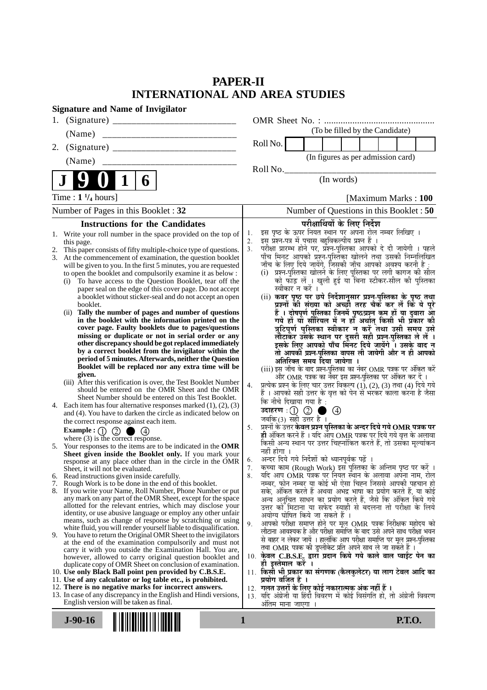# **PAPER-II INTERNATIONAL AND AREA STUDIES**

| <b>Signature and Name of Invigilator</b>                                                                                    |                                                                                                                                    |
|-----------------------------------------------------------------------------------------------------------------------------|------------------------------------------------------------------------------------------------------------------------------------|
| 1.                                                                                                                          |                                                                                                                                    |
| (Name)                                                                                                                      | (To be filled by the Candidate)                                                                                                    |
| 2.                                                                                                                          | Roll No.                                                                                                                           |
| (Name)                                                                                                                      | (In figures as per admission card)                                                                                                 |
|                                                                                                                             | Roll No.                                                                                                                           |
| 6                                                                                                                           | (In words)                                                                                                                         |
| Time : $1\frac{1}{4}$ hours]                                                                                                | [Maximum Marks: 100                                                                                                                |
| Number of Pages in this Booklet: 32                                                                                         | Number of Questions in this Booklet: 50                                                                                            |
| <b>Instructions for the Candidates</b>                                                                                      | परीक्षार्थियों के लिए निर्देश                                                                                                      |
| 1. Write your roll number in the space provided on the top of                                                               | इस पृष्ठ के ऊपर नियत स्थान पर अपना रोल नम्बर लिखिए ।<br>इस प्रश्न-पत्र में पुचास बहुविकल्पीय प्रश्न हैं ।<br>1.<br>2.              |
| this page.<br>This paper consists of fifty multiple-choice type of questions.<br>2.                                         | परीक्षा प्रारम्भ होने पर, प्रॅश्न-पुस्तिका आपको दे दी जायेगी । पहले<br>3 <sub>1</sub>                                              |
| 3.<br>At the commencement of examination, the question booklet                                                              | पाँच मिनट आपको प्रश्न-पुस्तिका खोलने तथा उसकी निम्नलिखित                                                                           |
| will be given to you. In the first 5 minutes, you are requested                                                             | जाँच के लिए दिये जायेंगे, जिसकी जाँच आपको अवश्य करनी है :                                                                          |
| to open the booklet and compulsorily examine it as below :<br>To have access to the Question Booklet, tear off the          | (i) प्रश्न-पुरितका खोलने के लिए पुस्तिका पर लगी कागज की सील<br>को फाँड़ लें । खुली हुई या बिना स्टीकर-सील की पुस्तिका              |
| (i)<br>paper seal on the edge of this cover page. Do not accept                                                             | स्वीकार न करें ।                                                                                                                   |
| a booklet without sticker-seal and do not accept an open                                                                    | (ii) कवर पृष्ठ पर छपे निर्देशानुसार प्रश्न-पुस्तिका के पृष्ठ तथा                                                                   |
| booklet.                                                                                                                    | प्रश्नों की संख्या को अच्छी तरह चैक कर लें कि ये पूरे                                                                              |
| (ii) Tally the number of pages and number of questions<br>in the booklet with the information printed on the                | हैं । दोषपूर्ण पुस्तिका जि़नमें पृष्ठ/प्रश्न कम हों या दुबारा आ<br>गये हों या सीरियल में न हों अर्थात् किसी भी प्रकार की           |
| cover page. Faulty booklets due to pages/questions                                                                          | त्रुटिपूर्ण पुस्तिका स्वीकार न करें तथा उसी समय उसे                                                                                |
| missing or duplicate or not in serial order or any                                                                          | लौटाकर उसके स्थान पर दूसरी सही प्रश्न-पुस्तिका ले लें ।<br>इसके लिए आपको पाँच मिनट दिये जायेंगे । उसके बाद न                       |
| other discrepancy should be got replaced immediately<br>by a correct booklet from the invigilator within the                |                                                                                                                                    |
| period of 5 minutes. Afterwards, neither the Question                                                                       | तो आपकी प्रश्न-पुस्तिका वापस ली जायेगी और न ही आपको<br>अतिरिक्त समय दिया जायेगा ।                                                  |
| Booklet will be replaced nor any extra time will be                                                                         | (iii) इस जाँच के बाद प्रश्न-पुस्तिका का नंबर OMR पत्रक पर अंकित करें                                                               |
| given.                                                                                                                      | और OMR पत्रक का नंबर इस प्रश्न-पुस्तिका पर अंकित कर दें ।                                                                          |
| (iii) After this verification is over, the Test Booklet Number<br>should be entered on the OMR Sheet and the OMR            | प्रत्येक प्रश्न के लिए चार उत्तर विकल्प (1), (2), (3) तथा (4) दिये गये<br>4.                                                       |
| Sheet Number should be entered on this Test Booklet.                                                                        | हैं । आपको सही उत्तर के वृत्त को पेन से भरकर काला करना है जैसा<br>कि नीचे दिखाया गया है :                                          |
| 4. Each item has four alternative responses marked $(1)$ , $(2)$ , $(3)$                                                    | $\circledcirc$                                                                                                                     |
| and (4). You have to darken the circle as indicated below on<br>the correct response against each item.                     | जबकि(3) सही उत्तर है ।                                                                                                             |
| Example: $\bigcirc$ $\bigcirc$ $\bigcirc$ $\bigcirc$ $\bigcirc$                                                             | प्रश्नों के उत्तर केवल प्रश्न पुस्तिका के अन्दर दिये गये OMR पत्रक पर<br>5 <sub>1</sub>                                            |
| where $(3)$ is the correct response.                                                                                        | ही अंकित करने हैं । यदि आप OMR पत्रक पर दिये गये वृत्त के अलावा<br>किसी अन्य स्थान पर उत्तर चिह्नांकित करते हैं, तो उसका मृत्यांकन |
| 5. Your responses to the items are to be indicated in the OMR<br>Sheet given inside the Booklet only. If you mark your      | नहीं होगा ।                                                                                                                        |
| response at any place other than in the circle in the OMR                                                                   | अन्दर दिये गये निर्देशों को ध्यानपूर्वक पढ़ें ।<br>6.                                                                              |
| Sheet, it will not be evaluated.                                                                                            | कृच्चा काम (Rough Work) इस पुस्तिका के अन्तिम पृष्ठ पर करें ।<br>7.                                                                |
| 6. Read instructions given inside carefully.<br>Rough Work is to be done in the end of this booklet.<br>7.                  | यदि आप OMR पत्रक पर नियत स्थान के अलावा अपना नाम, रोल<br>8.<br>नम्बर, फोन नम्बर या कोई भी ऐसा चिह्न जिससे आपकी पहचान हो            |
| 8.<br>If you write your Name, Roll Number, Phone Number or put                                                              | सके, अंकित करते हैं अथवा अभद्र भाषा का प्रयोग करते हैं, या कोई                                                                     |
| any mark on any part of the OMR Sheet, except for the space                                                                 | अन्य अनुचित साधन का प्रयोग करते हैं, जैसे कि अंकित किये गये                                                                        |
| allotted for the relevant entries, which may disclose your<br>identity, or use abusive language or employ any other unfair  | उत्तर को मिटाना या सफेद स्याही से बदलना तो परीक्षा के लिये                                                                         |
| means, such as change of response by scratching or using                                                                    | अयोग्य घोषित किये जा सकते हैं ।<br>आपको परीक्षा समाप्त होने पर मूल OMR पत्रक निरीक्षक महोदय को<br>9.                               |
| white fluid, you will render yourself liable to disqualification.                                                           | लौटाना आवश्यक है और परीक्षा समाप्ति के बाद उसे अपने साथ परीक्षा भवन                                                                |
| 9. You have to return the Original OMR Sheet to the invigilators<br>at the end of the examination compulsorily and must not | से बाहर न लेकर जायें । हालांकि आप परीक्षा समाप्ति पर मूल प्रश्न-पुस्तिका                                                           |
| carry it with you outside the Examination Hall. You are,                                                                    | तथा OMR पत्रक की डुप्लीकेट प्रति अपने साथ ले जा सकते हैं ।                                                                         |
| however, allowed to carry original question booklet and<br>duplicate copy of OMR Sheet on conclusion of examination.        | 10. केवल C.B.S.E. द्वारा प्रदान किये गये काले बाल प्वाईंट पेन का<br>ही इस्तेमाल करे ।                                              |
| 10. Use only Black Ball point pen provided by C.B.S.E.                                                                      | 11. किसी भी प्रकार का संगणक (कैलकुलेटर) या लाग टेबल आदि का                                                                         |
| 11. Use of any calculator or log table etc., is prohibited.                                                                 | प्रयोग वर्जित है ।                                                                                                                 |
| 12. There is no negative marks for incorrect answers.<br>13. In case of any discrepancy in the English and Hindi versions,  | 12. गलत उत्तरों के लिए कोई नकारात्मक अंक नहीं हैं ।<br>13. यदि अंग्रेजी या हिंदी विवरण में कोई विसंगति हो, तो अंग्रेजी विवरण       |
| English version will be taken as final.                                                                                     | अंतिम माना जाएगा ।                                                                                                                 |
|                                                                                                                             |                                                                                                                                    |
| $J-90-16$                                                                                                                   | <b>P.T.O.</b><br>$\mathbf{1}$                                                                                                      |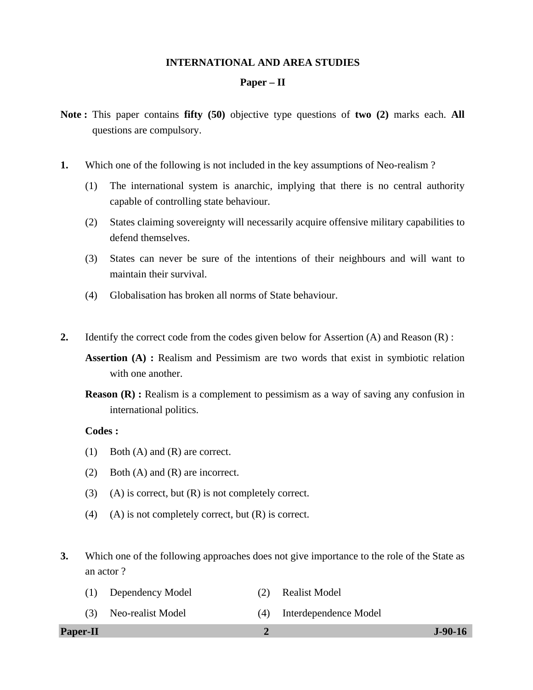#### **INTERNATIONAL AND AREA STUDIES**

#### **Paper – II**

- **Note :** This paper contains **fifty (50)** objective type questions of **two (2)** marks each. **All** questions are compulsory.
- **1.** Which one of the following is not included in the key assumptions of Neo-realism ?
	- (1) The international system is anarchic, implying that there is no central authority capable of controlling state behaviour.
	- (2) States claiming sovereignty will necessarily acquire offensive military capabilities to defend themselves.
	- (3) States can never be sure of the intentions of their neighbours and will want to maintain their survival.
	- (4) Globalisation has broken all norms of State behaviour.
- **2.** Identify the correct code from the codes given below for Assertion (A) and Reason (R) :
	- **Assertion (A) :** Realism and Pessimism are two words that exist in symbiotic relation with one another.
	- **Reason (R) :** Realism is a complement to pessimism as a way of saving any confusion in international politics.

# **Codes :**

- (1) Both (A) and (R) are correct.
- (2) Both (A) and (R) are incorrect.
- (3) (A) is correct, but  $(R)$  is not completely correct.
- (4) (A) is not completely correct, but  $(R)$  is correct.
- **3.** Which one of the following approaches does not give importance to the role of the State as an actor ?
	- (1) Dependency Model (2) Realist Model (3) Neo-realist Model (4) Interdependence Model

#### **Paper-II 2 J-90-16**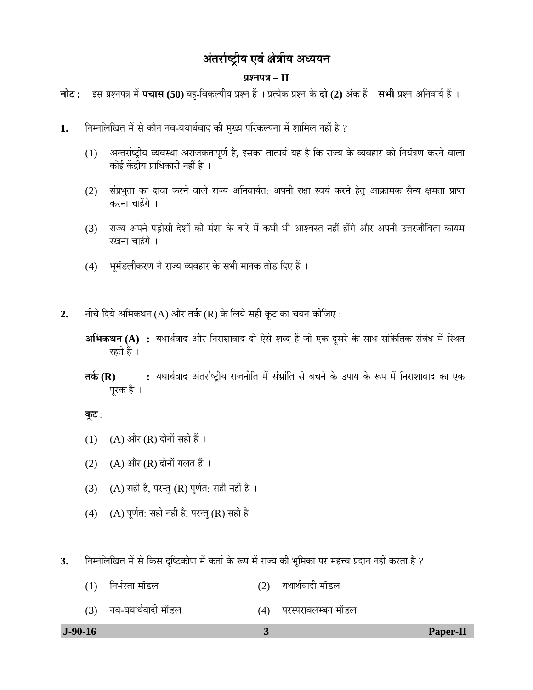# <u>अंतर्राष्ट्रीय एवं क्षेत्रीय अध्ययन</u>

## **¯ÖÏ¿®Ö¯Ö¡Ö – II**

**जोट:** इस प्रश्नपत्र में **पचास (50)** बहु-विकल्पीय प्रश्न हैं । प्रत्येक प्रश्न के **दो (2)** अंक हैं । सभी प्रश्न अनिवार्य हैं ।

- 1. निम्नलिखित में से कौन नव-यथार्थवाद की मुख्य परिकल्पना में शामिल नहीं है ?
	- (1) अन्तर्राष्ट्रीय व्यवस्था अराजकतापूर्ण है, इसका तात्पर्य यह है कि राज्य के व्यवहार को नियंत्रण करने वाला कोई केंद्रीय प्राधिकारी नहीं है ।
	- (2) संप्रभुता का दावा करने वाले राज्य अनिवार्यत: अपनी रक्षा स्वयं करने हेतु आक्रामक सैन्य क्षमता प्राप्त करना चाहेंगे ।
	- (3) ∑राज्य अपने पड़ोसी देशों की मंशा के बारे में कभी भी आश्वस्त नहीं होंगे और अपनी उत्तरजीविता कायम रखना चाहेंगे ।
	- (4) भूमंडलीकरण ने राज्य व्यवहार के सभी मानक तोड़ दिए हैं ।
- 2. नीचे दिये अभिकथन (A) और तर्क (R) के लिये सही कूट का चयन कीजिए :
	- **अभिकथन (A) :** यथार्थवाद और निराशावाद दो ऐसे शब्द हैं जो एक दूसरे के साथ सांकेतिक संबंध में स्थित रहते हैं ।
	- **तर्क (R) :** यथार्थवाद अंतर्राष्ट्रीय राजनीति में संभ्रांति से बचने के उपाय के रूप में निराशावाद का एक परक है ।

- (1) (A) और (R) दोनों सही हैं ।
- (2) (A) और (R) दोनों गलत हैं ।
- (3) (A) सही है, परन्तु (R) पूर्णत: सही नहीं है ।
- (4) (A) पूर्णत: सही नहीं है, परन्तु (R) सही है।
- 3. निम्नलिखित में से किस दृष्टिकोण में कर्ता के रूप में राज्य की भूमिका पर महत्त्व प्रदान नहीं करता है ?

| $J-90-16$ |                    |     |                    | Paper-II |
|-----------|--------------------|-----|--------------------|----------|
| (3)       | नव-यथार्थवादी मॉडल | (4) | परस्परावलम्बन मॉडल |          |
| (1)       | निर्भरता मॉडल      | (2) | यथार्थवादी मॉडल    |          |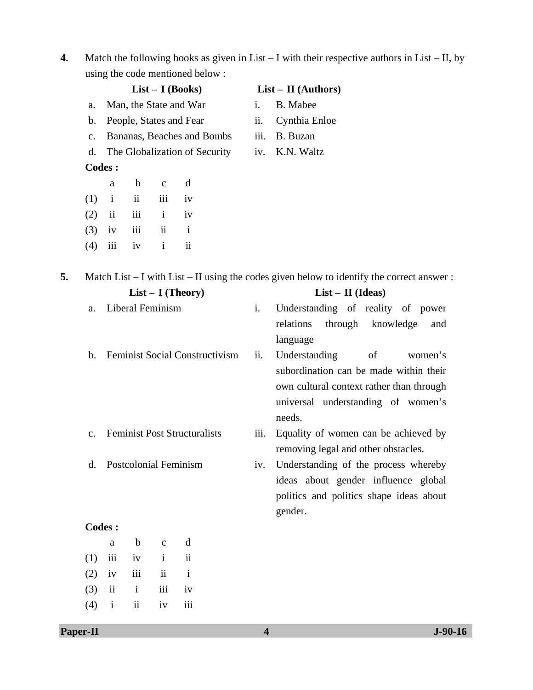**4.** Match the following books as given in List – I with their respective authors in List – II, by using the code mentioned below :

|    |                | $List - I (Books)$     |                  |                          |                                     |      | $List - II$ (Authors)                                                                          |  |  |  |
|----|----------------|------------------------|------------------|--------------------------|-------------------------------------|------|------------------------------------------------------------------------------------------------|--|--|--|
|    | a.             | Man, the State and War |                  |                          |                                     | i.   | <b>B.</b> Mabee                                                                                |  |  |  |
|    | b.             |                        |                  |                          | People, States and Fear             | ii.  | Cynthia Enloe                                                                                  |  |  |  |
|    | $\mathbf{c}$ . |                        |                  |                          | Bananas, Beaches and Bombs          | iii. | B. Buzan                                                                                       |  |  |  |
|    | d.             |                        |                  |                          | The Globalization of Security       | iv.  | K.N. Waltz                                                                                     |  |  |  |
|    |                | <b>Codes:</b>          |                  |                          |                                     |      |                                                                                                |  |  |  |
|    |                | a                      | $\mathbf b$      | $\mathbf c$              | $\mathbf d$                         |      |                                                                                                |  |  |  |
|    | (1)            | $\mathbf{i}$           | ii               | iii                      | iv                                  |      |                                                                                                |  |  |  |
|    | (2)            | $\ddot{\mathbf{i}}$    | iii              | $\mathbf{i}$             | iv                                  |      |                                                                                                |  |  |  |
|    | (3)            | iv                     | iii              | $\overline{\mathbf{ii}}$ | $\mathbf{i}$                        |      |                                                                                                |  |  |  |
|    | (4)            | iii                    | iv               | $\mathbf{i}$             | $\mathbf{ii}$                       |      |                                                                                                |  |  |  |
| 5. |                |                        |                  |                          |                                     |      | Match List $-$ I with List $-$ II using the codes given below to identify the correct answer : |  |  |  |
|    |                |                        |                  |                          | $List - I$ (Theory)                 |      | $List - II$ (Ideas)                                                                            |  |  |  |
|    | a.             |                        | Liberal Feminism |                          |                                     | i.   | Understanding of reality of power                                                              |  |  |  |
|    |                |                        |                  |                          |                                     |      | relations<br>through<br>knowledge<br>and                                                       |  |  |  |
|    |                |                        |                  |                          |                                     |      | language                                                                                       |  |  |  |
|    | b.             |                        |                  |                          | Feminist Social Constructivism      | ii.  | Understanding<br>of<br>women's                                                                 |  |  |  |
|    |                |                        |                  |                          |                                     |      | subordination can be made within their                                                         |  |  |  |
|    |                |                        |                  |                          |                                     |      | own cultural context rather than through                                                       |  |  |  |
|    |                |                        |                  |                          |                                     |      | universal understanding of women's                                                             |  |  |  |
|    |                |                        |                  |                          |                                     |      | needs.                                                                                         |  |  |  |
|    | $\mathbf{c}$ . |                        |                  |                          | <b>Feminist Post Structuralists</b> | iii. | Equality of women can be achieved by                                                           |  |  |  |
|    |                |                        |                  |                          |                                     |      | removing legal and other obstacles.                                                            |  |  |  |
|    | d.             |                        |                  |                          | <b>Postcolonial Feminism</b>        | iv.  | Understanding of the process whereby                                                           |  |  |  |
|    |                |                        |                  |                          |                                     |      | ideas about gender influence global                                                            |  |  |  |
|    |                |                        |                  |                          |                                     |      | politics and politics shape ideas about                                                        |  |  |  |
|    |                |                        |                  |                          |                                     |      | gender.                                                                                        |  |  |  |
|    |                | <b>Codes:</b>          |                  |                          |                                     |      |                                                                                                |  |  |  |

|  | a b c d            |  |
|--|--------------------|--|
|  | $(1)$ iii iv i ii  |  |
|  | $(2)$ iv iii ii i  |  |
|  | $(3)$ ii ii iii iv |  |
|  | $(4)$ i ii iv iii  |  |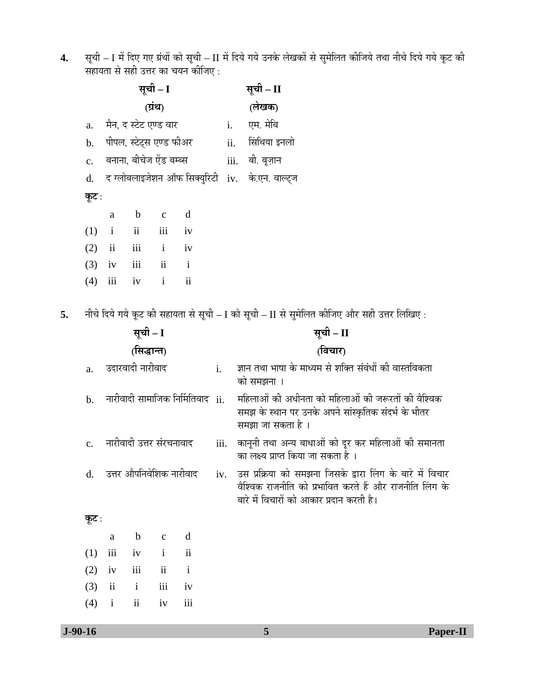**4.** सूची – I में दिए गए ग्रंथों को सूची – II में दिये गये उनके लेखकों से सुमेलित कीजिये तथा नीचे दिये गये कूट की सहायता से सही उत्तर का चयन कीजिए :

|    |                | सूची – I                |                          |                     |                                  |      |      | सूची – II                                                                                                                                                        |
|----|----------------|-------------------------|--------------------------|---------------------|----------------------------------|------|------|------------------------------------------------------------------------------------------------------------------------------------------------------------------|
|    |                | (ग्रंथ)                 |                          |                     |                                  |      |      | (लेखक)                                                                                                                                                           |
|    | a.             |                         | मैन, द स्टेट एण्ड वार    |                     |                                  | i.   |      | एम. मेबि                                                                                                                                                         |
|    | $\mathbf b$ .  |                         | पीपल, स्टेट्स एण्ड फीअर  |                     |                                  | ii.  |      | सिंथिया इनलो                                                                                                                                                     |
|    | $\mathbf{c}$ . |                         | बनाना, बीचेज ऐंड बम्ब्स  |                     |                                  |      | iii. | बी. बूज़ान                                                                                                                                                       |
|    | d.             |                         |                          |                     | द ग्लोबलाइजेशन ऑफ सिक्युरिटी     | iv.  |      | के.एन. वाल्ट्ज                                                                                                                                                   |
|    | कूट :          |                         |                          |                     |                                  |      |      |                                                                                                                                                                  |
|    |                | a                       | $\mathbf b$              | $\mathbf c$         | d                                |      |      |                                                                                                                                                                  |
|    | (1)            | $\mathbf{i}$            | ii                       | iii                 | iv                               |      |      |                                                                                                                                                                  |
|    | (2)            | $\overline{\mathbf{u}}$ | iii                      | $\mathbf{i}$        | iv                               |      |      |                                                                                                                                                                  |
|    | (3)            | iv                      | iii                      | $\rm ii$            | $\mathbf{i}$                     |      |      |                                                                                                                                                                  |
|    | (4)            | iii                     | iv                       | $\mathbf{i}$        | $\overline{\mathbf{1}}$          |      |      |                                                                                                                                                                  |
| 5. |                |                         |                          |                     |                                  |      |      | नीचे दिये गये कूट की सहायता से सूची – I को सूची – II से सुमेलित कीजिए और सही उत्तर लिखिए :                                                                       |
|    | सूची – I       |                         |                          |                     |                                  |      |      | सूची – II                                                                                                                                                        |
|    |                | (सिद्धान्त)             |                          |                     |                                  |      |      | (विचार)                                                                                                                                                          |
|    | a.             |                         | उदारवादी नारीवाद         |                     |                                  | i.   |      | ज्ञान तथा भाषा के माध्यम से शक्ति संबंधों की वास्तविकता<br>को समझना ।                                                                                            |
|    | b.             |                         |                          |                     | नारीवादी सामाजिक निर्मितिवाद ii. |      |      | महिलाओं की अधीनता को महिलाओं की जरूरतों की वैश्विक<br>समझ के स्थान पर उनके अपने सांस्कृतिक संदर्भ के भीतर<br>समझा जा सकता है ।                                   |
|    | $\mathbf{c}$ . |                         | नारीवादी उत्तर संरचनावाद |                     |                                  | iii. |      | कानूनी तथा अन्य बाधाओं को दूर कर महिलाओं की समानता<br>का लक्ष्य प्राप्त किया जा सकता है ।                                                                        |
|    |                |                         | उत्तर औपनिवेशिक नारीवाद  |                     |                                  | iv.  |      | उस प्रक्रिया को समझना जिसके द्वारा लिंग के बारे में विचार<br>वैश्विक राजनीति को प्रभावित करते हैं और राजनीति लिंग के<br>बारे में विचारों को आकार प्रदान करती है। |
|    | कूट :          |                         |                          |                     |                                  |      |      |                                                                                                                                                                  |
|    |                | $\rm{a}$                | $\mathbf b$              | $\mathbf C$         | d                                |      |      |                                                                                                                                                                  |
|    | (1)            | iii                     | iv                       | $\mathbf{i}$        | $\rm ii$                         |      |      |                                                                                                                                                                  |
|    | (2)            | iv                      | iii                      | $\ddot{\mathbf{i}}$ | $\mathbf{i}$                     |      |      |                                                                                                                                                                  |
|    | (3)            | $\overline{\mathbf{u}}$ | $\mathbf{i}$             | iii                 | iv                               |      |      |                                                                                                                                                                  |
|    | (4)            | $\mathbf{i}$            | $\overline{\mathbf{u}}$  | iv                  | iii                              |      |      |                                                                                                                                                                  |
|    |                |                         |                          |                     |                                  |      |      |                                                                                                                                                                  |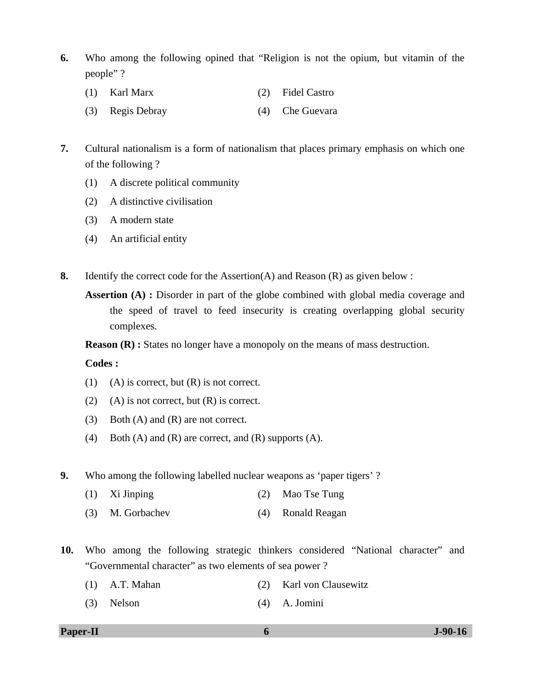- **6.** Who among the following opined that "Religion is not the opium, but vitamin of the people" ?
	- (1) Karl Marx (2) Fidel Castro
	- (3) Regis Debray (4) Che Guevara
- **7.** Cultural nationalism is a form of nationalism that places primary emphasis on which one of the following ?
	- (1) A discrete political community
	- (2) A distinctive civilisation
	- (3) A modern state
	- (4) An artificial entity
- **8.** Identify the correct code for the Assertion(A) and Reason (R) as given below :
	- **Assertion (A) :** Disorder in part of the globe combined with global media coverage and the speed of travel to feed insecurity is creating overlapping global security complexes.

**Reason (R) :** States no longer have a monopoly on the means of mass destruction.

 **Codes :** 

- (1) (A) is correct, but  $(R)$  is not correct.
- (2) (A) is not correct, but  $(R)$  is correct.
- (3) Both (A) and (R) are not correct.
- (4) Both (A) and (R) are correct, and (R) supports (A).
- **9.** Who among the following labelled nuclear weapons as 'paper tigers' ?
	- (1) Xi Jinping (2) Mao Tse Tung
	- (3) M. Gorbachev (4) Ronald Reagan
- **10.** Who among the following strategic thinkers considered "National character" and "Governmental character" as two elements of sea power ?
	- (1) A.T. Mahan (2) Karl von Clausewitz
	- (3) Nelson (4) A. Jomini

#### **Paper-II 6 J-90-16**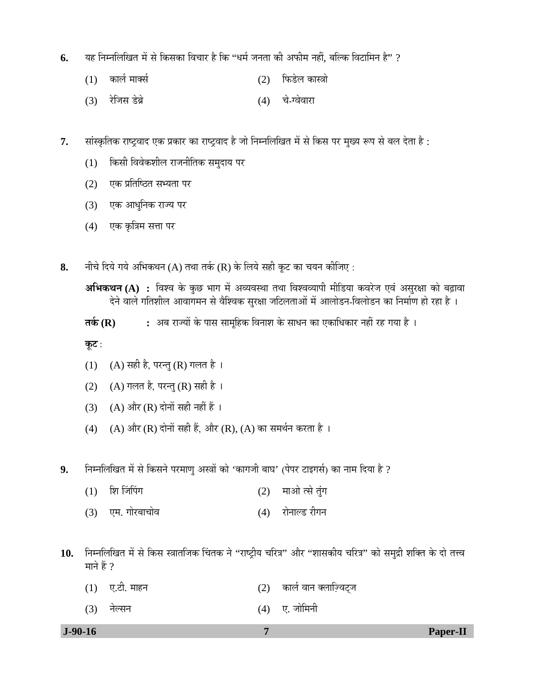- **6.** यह निम्नलिखित में से किसका विचार है कि ''धर्म जनता की अफीम नहीं. बल्कि विटामिन है'' ?
	- (1) ÛúÖ»ÖÔ ´ÖÖŒÃÖÔ (2) ×±ú›êü»Ö ÛúÖáÖÖê
	- (3) ¸êüוÖÃÖ ›êü²ÖÎê (4) "Öê-ݾÖê¾ÖÖ¸üÖ
- 7. सांस्कृतिक राष्ट्रवाद एक प्रकार का राष्ट्रवाद है जो निम्नलिखित में से किस पर मुख्य रूप से बल देता है :
	- (1) किसी विवेकशील राजनीतिक समुदाय पर
	- $(2)$  एक प्रतिष्ठित सभ्यता पर
	- (3) एक आधुनिक राज्य पर
	- (4) एक कृत्रिम सत्ता पर
- 8. नीचे दिये गये अभिकथन (A) तथा तर्क (R) के लिये सही कूट का चयन कीजिए :

**तर्क (R) :** अब राज्यों के पास सामहिक विनाश के साधन का एकाधिकार नहीं रह गया है ।

- (1) (A) सही है, परन्तु (R) गलत है।
- (2) (A) गलत है, परन्तु (R) सही है ।
- (3) (A) और (R) दोनों सही नहीं हैं ।
- (4) (A) और (R) दोनों सही हैं, और (R), (A) का समर्थन करता है ।
- **9.** निम्नलिखित में से किसने परमाण् अस्त्रों को 'कागजी बाघ' (पेपर टाइगर्स) का नाम दिया है ?
	- $(1)$  शि जिंपिंग  $(2)$  माओ त्से तुंग
	- (3) एम. गोरबाचोव (4) रोनाल्ड रीगन
- 10. Fiम्नलिखित में से किस स्त्रातजिक चिंतक ने "राष्ट्रीय चरित्र" और "शासकीय चरित्र" को समुद्री शक्ति के दो तत्त्व माने हैं  $?$ 
	- $(1)$  ए.टी. माहन  $(2)$  कार्ल वान क्लाज़्विट्ज
	- (3) नेल्सन (4) ए. जोमिनी
- 

**अभिकथन (A) :** विश्व के कुछ भाग में अव्यवस्था तथा विश्वव्यापी मीडिया कवरेज एवं असुरक्षा को बढ़ावा हेने वाले गतिशील आवागमन से वैश्विक सुरक्षा जटिलताओं में आलोडन-विलोडन का निर्माण हो रहा है ।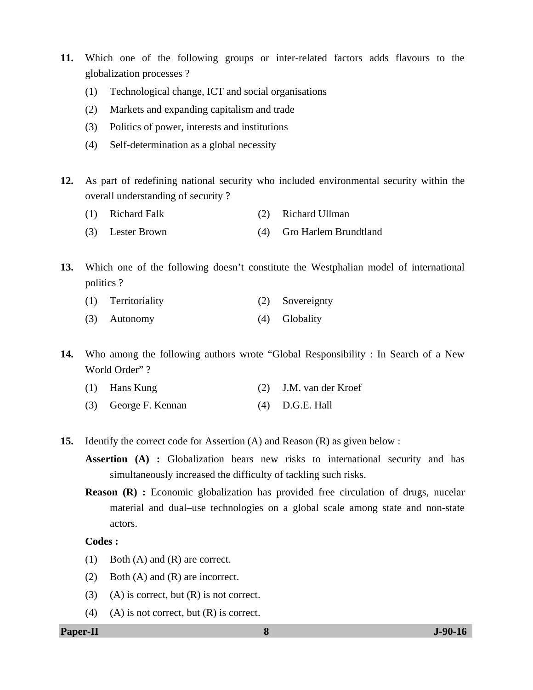- **11.** Which one of the following groups or inter-related factors adds flavours to the globalization processes ?
	- (1) Technological change, ICT and social organisations
	- (2) Markets and expanding capitalism and trade
	- (3) Politics of power, interests and institutions
	- (4) Self-determination as a global necessity
- **12.** As part of redefining national security who included environmental security within the overall understanding of security ?
	- (1) Richard Falk (2) Richard Ullman
	- (3) Lester Brown (4) Gro Harlem Brundtland

**13.** Which one of the following doesn't constitute the Westphalian model of international politics ?

- (1) Territoriality (2) Sovereignty
- (3) Autonomy (4) Globality

**14.** Who among the following authors wrote "Global Responsibility : In Search of a New World Order"?

- (1) Hans Kung (2) J.M. van der Kroef
- (3) George F. Kennan (4) D.G.E. Hall
- **15.** Identify the correct code for Assertion (A) and Reason (R) as given below :

**Assertion (A) :** Globalization bears new risks to international security and has simultaneously increased the difficulty of tackling such risks.

**Reason (R) :** Economic globalization has provided free circulation of drugs, nucelar material and dual–use technologies on a global scale among state and non-state actors.

# **Codes :**

- (1) Both (A) and (R) are correct.
- (2) Both (A) and (R) are incorrect.
- (3) (A) is correct, but  $(R)$  is not correct.
- (4) (A) is not correct, but  $(R)$  is correct.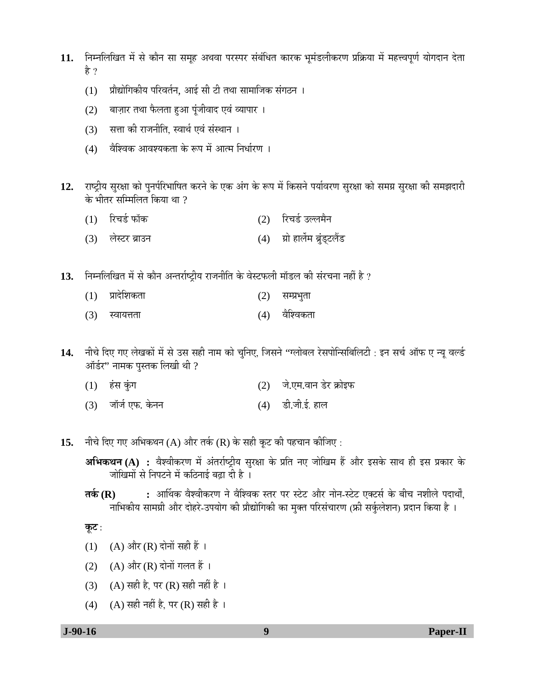- 11. निम्नलिखित में से कौन सा समूह अथवा परस्पर संबंधित कारक भूमंडलीकरण प्रक्रिया में महत्त्वपूर्ण योगदान देता है ?
	- (1) प्रौद्योगिकीय परिवर्तन, आई सी टी तथा सामाजिक संगठन ।
	- (2) बाज़ार तथा फैलता हुआ पूंजीवाद एवं व्यापार ।
	- (3) सत्ता की राजनीति, स्वार्थ एवं संस्थान ।
	- (4) वैश्विक आवश्यकता के रूप में आत्म निर्धारण ।
- 12. राष्ट्रीय सुरक्षा को पुनर्परिभाषित करने के एक अंग के रूप में किसने पर्यावरण सुरक्षा को समग्न सुरक्षा की समझदारी के भीतर सम्मिलित किया था  $\theta$ 
	- (1) रिचर्ड फॉक (2) रिचर्ड उल्लमैन
	- (3) लेस्टर ब्राउन (4) ग्रो हार्लेम ब्रुंड्टलैंड
- **13.** ×®Ö´®Ö×»Ö×ÜÖŸÖ ´Öë ÃÖê ÛúÖî®Ö †®ŸÖ¸üÖÔ™ÒüßµÖ ¸üÖ•Ö®Öß×ŸÖ Ûêú ¾ÖêÙü±ú»Öß ´ÖÖò›ü»Ö Ûúß ÃÖÓ¸ü"Ö®ÖÖ ®ÖÆüà Æîü ?
	- (1) प्रादेशिकता (2) सम्प्रभुता
	- (3) स्वायत्तता (4) वेश्विकता
- 14. नीचे दिए गए लेखकों में से उस सही नाम को चुनिए, जिसने ''ग्लोबल रेसपोन्सिबिलिटी : इन सर्च ऑफ ए न्यू वर्ल्ड ऑर्डर" नामक पुस्तक लिखी थी ?
	- (1) ÆÓüÃÖ ÛãÓúÝÖ (2) •Öê.‹´Ö.¾ÖÖ®Ö ›êü¸ü ÛÎúÖꇱú
	- $(3)$  नॉर्ज एफ. केनन  $(4)$  डी.जी.ई. हाल
- 15. नीचे दिए गए अभिकथन (A) और तर्क (R) के सही कूट की पहचान कीजिए :
	- **अभिकथन (A) :** वैश्वीकरण में अंतर्राष्ट्रीय सुरक्षा के प्रति नए जोखिम हैं और इसके साथ ही इस प्रकार के <u>जोखिमों से निपटने में कठिनाई बढ़ा दी है</u>।
	- **तर्क (R) :** आर्थिक वैश्वीकरण ने वैश्विक स्तर पर स्टेट और नोन-स्टेट एक्टर्स के बीच नशीले पदार्थों. नाभिकीय सामग्री और दोहरे-उपयोग की प्रौद्योगिकी का मुक्त परिसंचारण (फ्री सर्कुलेशन) प्रदान किया है ।

<u>क</u>ूट :

- (1) (A) और (R) दोनों सही हैं ।
- (2)  $(A)$  और  $(R)$  दोनों गलत हैं ।
- (3) (A) सही है, पर (R) सही नहीं है ।
- $(4)$   $(A)$  सही नहीं है, पर  $(R)$  सही है ।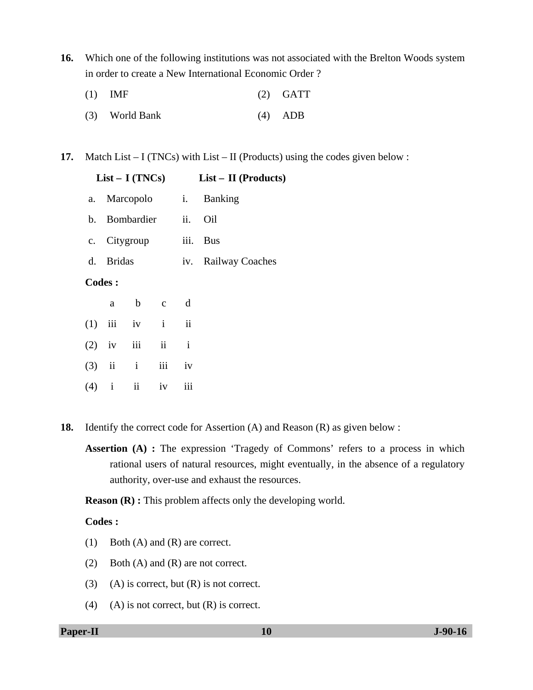**16.** Which one of the following institutions was not associated with the Brelton Woods system in order to create a New International Economic Order ?

| $(1)$ IMF      | $(2)$ GATT |
|----------------|------------|
| (3) World Bank | $(4)$ ADB  |

**17.** Match List – I (TNCs) with List – II (Products) using the codes given below :

|               |           | $List - I (TNCs)$     |        |              | $List - II$ (Products)  |
|---------------|-----------|-----------------------|--------|--------------|-------------------------|
|               |           |                       |        |              | a. Marcopolo i. Banking |
|               |           | b. Bombardier ii. Oil |        |              |                         |
|               |           | c. Citygroup iii. Bus |        |              |                         |
|               | d. Bridas |                       |        |              | iv. Railway Coaches     |
| <b>Codes:</b> |           |                       |        |              |                         |
|               |           | a b c d               |        |              |                         |
| (1)           |           | iii iv i ii           |        |              |                         |
|               | $(2)$ iv  |                       | iii ii | $\mathbf{i}$ |                         |
|               |           | $(3)$ ii ii ii iv     |        |              |                         |
|               |           | $(4)$ i ii            | iv     | iii          |                         |

- **18.** Identify the correct code for Assertion (A) and Reason (R) as given below :
	- **Assertion (A) :** The expression 'Tragedy of Commons' refers to a process in which rational users of natural resources, might eventually, in the absence of a regulatory authority, over-use and exhaust the resources.

**Reason (R) :** This problem affects only the developing world.

# **Codes :**

- (1) Both (A) and (R) are correct.
- (2) Both (A) and (R) are not correct.
- (3) (A) is correct, but  $(R)$  is not correct.
- (4) (A) is not correct, but  $(R)$  is correct.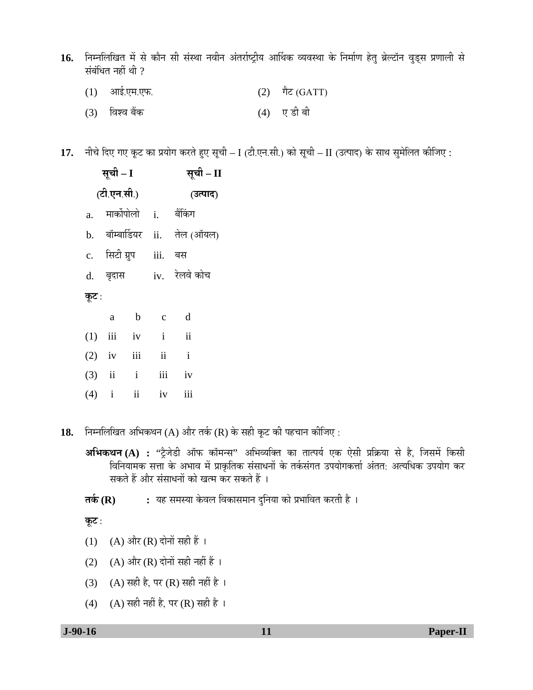- 16. Fiम्नलिखित में से कौन सी संस्था नवीन अंतर्राष्ट्रीय आर्थिक व्यवस्था के निर्माण हेतु ब्रेल्टॉन वुड्स प्रणाली से संबंधित नहीं थी  $\,$ 
	- $(1)$  आई.एम.एफ. (2) गैट (GATT)
	- (3) विश्व बैंक (4) ए डी बी

17. नीचे दिए गए कूट का प्रयोग करते हुए सूची – I (टी.एन.सी.) को सूची – II (उत्पाद) के साथ सुमेलित कीजिए :

| सूची – I       | सूची – II    |                       |                 |                              |
|----------------|--------------|-----------------------|-----------------|------------------------------|
|                | (टी.एन.सी.)  |                       | (उत्पाद)        |                              |
| $\mathbf{a}$ . |              |                       |                 | मार्कोपोलो i. बैंकिंग        |
|                |              |                       |                 | b. बॉम्बार्डियर ii. तेल(ऑयल) |
|                |              | c. सिटी ग्रुप iii. बस |                 |                              |
|                | d. बृदास     |                       |                 | iv. रेलवे कोच                |
| कूट :          |              |                       |                 |                              |
|                | a            | $\mathbf b$           | $\mathbf{c}$    | d                            |
|                | $(1)$ iii iv |                       | $\mathbf{i}$    | $\ddot{\mathbf{i}}$          |
| (2)            | iv           | iii                   | $\ddot{\rm ii}$ | $\mathbf{i}$                 |

- $(3)$  ii ii iii iv  $(4)$  i ii iv iii
- 18. Fiम्नलिखित अभिकथन (A) और तर्क (R) के सही कूट की पहचान कीजिए :
	- **अभिकथन (A) : "ट्रे**जेडी ऑफ कॉमन्स" अभिव्यक्ति का तात्पर्य एक ऐसी प्रक्रिया से है, जिसमें किसी विनियामक सत्ता के अभाव में प्राकृतिक संसाधनों के तर्कसंगत उपयोगकर्त्ता अंतत: अत्यधिक उपयोग कर सकते हैं और संसाधनों को खत्म कर सकते हैं ।
	- **तर्क (R) :** यह समस्या केवल विकासमान दुनिया को प्रभावित करती है ।

- (1) (A) और (R) दोनों सही हैं ।
- (2) (A) और (R) दोनों सही नहीं हैं ।
- (3) (A) सही है, पर (R) सही नहीं है ।
- (4) (A) सही नहीं है, पर (R) सही है।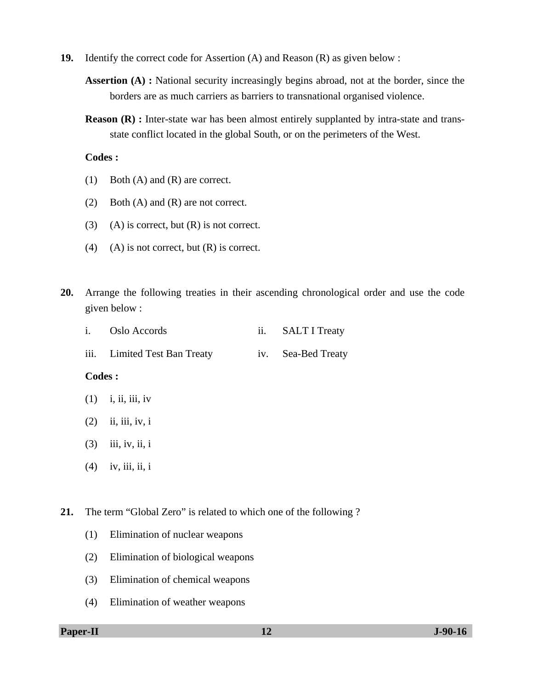- **19.** Identify the correct code for Assertion (A) and Reason (R) as given below :
	- **Assertion (A) :** National security increasingly begins abroad, not at the border, since the borders are as much carriers as barriers to transnational organised violence.
	- **Reason (R) :** Inter-state war has been almost entirely supplanted by intra-state and transstate conflict located in the global South, or on the perimeters of the West.

### **Codes :**

- (1) Both (A) and (R) are correct.
- (2) Both (A) and (R) are not correct.
- (3) (A) is correct, but  $(R)$  is not correct.
- (4) (A) is not correct, but  $(R)$  is correct.
- **20.** Arrange the following treaties in their ascending chronological order and use the code given below :

| i. Oslo Accords              | <b>SALT I Treaty</b> |
|------------------------------|----------------------|
| iii. Limited Test Ban Treaty | iv. Sea-Bed Treaty   |

#### **Codes :**

- $(1)$  i, ii, iii, iv
- $(2)$  ii, iii, iv, i
- $(3)$  iii, iv, ii, i
- $(4)$  iv, iii, ii, i

**21.** The term "Global Zero" is related to which one of the following ?

- (1) Elimination of nuclear weapons
- (2) Elimination of biological weapons
- (3) Elimination of chemical weapons
- (4) Elimination of weather weapons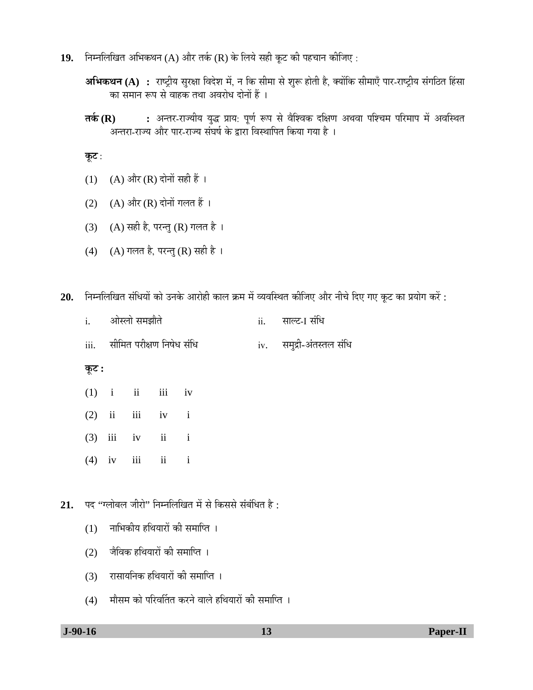- 19. Fiम्नलिखित अभिकथन (A) और तर्क (R) के लिये सही कूट की पहचान कीजिए :
	- **अभिकथन (A) :** राष्ट्रीय सुरक्षा विदेश में, न कि सीमा से शुरू होती है, क्योंकि सीमाएँ पार-राष्ट्रीय संगठित हिंसा का समान रूप से वाहक तथा अवरोध दोनों हैं ।
	- **तर्क (R) :** अन्तर-राज्यीय युद्ध प्राय: पूर्ण रूप से वैश्विक दक्षिण अथवा पश्चिम परिमाप में अवस्थित .<br>अन्तरा-राज्य और पार-राज्य संघर्ष के द्वारा विस्थापित किया गया है ।

कूट :

- (1) (A) और (R) दोनों सही हैं ।
- (2) (A) और (R) दोनों गलत हैं ।
- (3) (A) सही है, परन्तु (R) गलत है।
- (4) (A) गलत है, परन्तु (R) सही है ।
- 20. निम्नलिखित संधियों को उनके आरोही काल क्रम में व्यवस्थित कीजिए और नीचे दिए गए कूट का प्रयोग करें :

| ओस्लो समझौते | साल्ट-ा संधि |
|--------------|--------------|
|              |              |

iii. सीमित परीक्षण निषेध संधि iv. समुद्री-अंतस्तल संधि

<u>कूट :</u>

- $(1)$  i ii iii iv
- $(2)$  ii iii iv i
- $(3)$  iii iv ii i
- $(4)$  iv iii ii i

21. पद ''ग्लोबल जीरो'' निम्नलिखित में से किससे संबंधित है :

- $(1)$  नाभिकीय हथियारों की समाप्ति ।
- $(2)$  जैविक हथियारों की समाप्ति ।
- (3) रासायनिक हथियारों की समाप्ति ।
- (4) मौसम को परिवर्तित करने वाले हथियारों की समाप्ति ।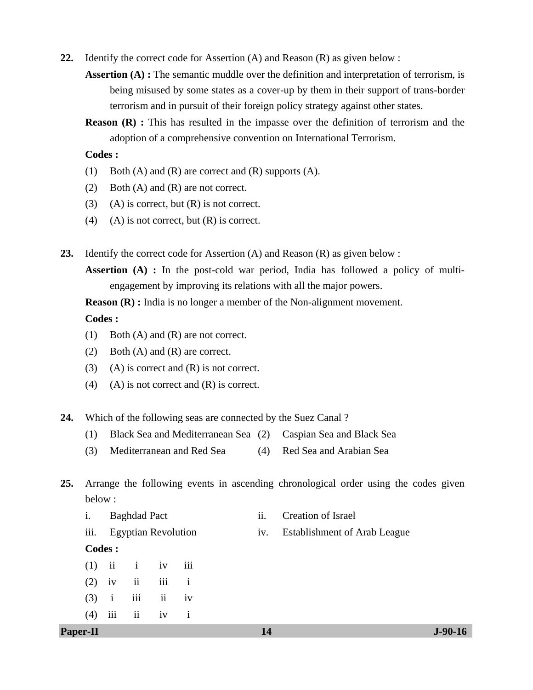**22.** Identify the correct code for Assertion (A) and Reason (R) as given below :

**Assertion (A) :** The semantic muddle over the definition and interpretation of terrorism, is being misused by some states as a cover-up by them in their support of trans-border terrorism and in pursuit of their foreign policy strategy against other states.

**Reason (R) :** This has resulted in the impasse over the definition of terrorism and the adoption of a comprehensive convention on International Terrorism.

#### **Codes :**

- (1) Both (A) and (R) are correct and (R) supports (A).
- (2) Both (A) and (R) are not correct.
- (3) (A) is correct, but  $(R)$  is not correct.
- (4) (A) is not correct, but  $(R)$  is correct.
- **23.** Identify the correct code for Assertion (A) and Reason (R) as given below :

**Assertion (A) :** In the post-cold war period, India has followed a policy of multiengagement by improving its relations with all the major powers.

**Reason (R) :** India is no longer a member of the Non-alignment movement.

### **Codes :**

- (1) Both (A) and (R) are not correct.
- (2) Both (A) and (R) are correct.
- (3) (A) is correct and  $(R)$  is not correct.
- (4) (A) is not correct and  $(R)$  is correct.
- **24.** Which of the following seas are connected by the Suez Canal ?
	- (1) Black Sea and Mediterranean Sea (2) Caspian Sea and Black Sea
	- (3) Mediterranean and Red Sea (4) Red Sea and Arabian Sea

# **25.** Arrange the following events in ascending chronological order using the codes given below :

- i. Baghdad Pact ii. Creation of Israel
- iii. Egyptian Revolution iv. Establishment of Arab League

### **Codes :**

 $(1)$  ii iv iii  $(2)$  iv ii iii i  $(3)$  i iii ii iv  $(4)$  iii ii iv i

**Paper-II** J-90-16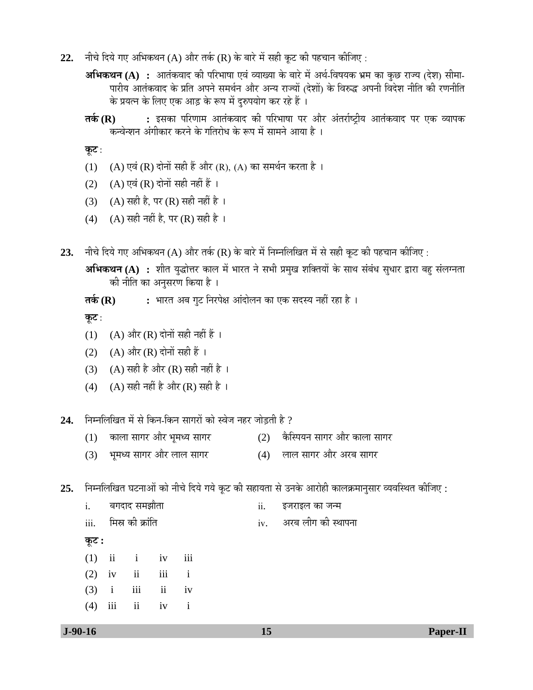- 22. नीचे दिये गए अभिकथन (A) और तर्क (R) के बारे में सही कुट की पहचान कीजिए :
	- **अभिकथन (A) :** आतंकवाद की परिभाषा एवं व्याख्या के बारे में अर्थ-विषयक भ्रम का कुछ राज्य (देश) सीमा-घारीय आतंकवाद के प्रति अपने समर्थन और अन्य राज्यों (देशों) के विरुद्ध अपनी विदेश नीति की रणनीति के प्रयत्न के लिए एक आड़ के रूप में दुरुपयोग कर रहे हैं ।
	- **तर्क (R) :** इसका परिणाम आतंकवाद की परिभाषा पर और अंतर्राष्ट्रीय आतंकवाद पर एक व्यापक कन्वेन्शन अंगीकार करने के गतिरोध के रूप में सामने आया है ।

**कूट** :

- (1) (A) एवं (R) दोनों सही हैं और (R), (A) का समर्थन करता है।
- (2)  $(A)$  एवं (R) दोनों सही नहीं हैं ।
- $(3)$   $(A)$  सही है, पर  $(R)$  सही नहीं है ।
- (4) (A) सही नहीं है, पर (R) सही है।
- **23.** नीचे दिये गए अभिकथन (A) और तर्क (R) के बारे में निम्नलिखित में से सही कूट की पहचान कीजिए :
	- **अभिकथन (A) :** शीत युद्धोत्तर काल में भारत ने सभी प्रमुख शक्तियों के साथ संबंध सुधार द्वारा बहु संलग्नता की नीति का अनुसरण किया है ।
	- **तर्क (R) :** भारत अब गुट निरपेक्ष आंदोलन का एक सदस्य नहीं रहा है ।

<u>क</u>ूट :

- (1) (A) और (R) दोनों सही नहीं हैं ।
- (2)  $(A)$  और  $(R)$  दोनों सही हैं ।
- (3) (A) सही है और (R) सही नहीं है ।
- (4) (A) सही नहीं है और (R) सही है।
- 2**4.** निम्नलिखित में से किन-किन सागरों को स्वेज नहर जोड़ती है ?
	- $(1)$  काला सागर और भूमध्य सागर  $(2)$  कैस्पियन सागर और काला सागर
	- (3) भूमध्य सागर और लाल सागर (4) लाल सागर और अरब सागर
- 25. निम्नलिखित घटनाओं को नीचे दिये गये कूट की सहायता से उनके आरोही कालक्रमानुसार व्यवस्थित कीजिए :

| $J-90-16$ |          |              |                                                                                        |  | 15  | <b>Paper-II</b>        |
|-----------|----------|--------------|----------------------------------------------------------------------------------------|--|-----|------------------------|
|           | (4)      |              | iii ii iv i                                                                            |  |     |                        |
|           |          |              |                                                                                        |  |     |                        |
|           | (3)      | $\mathbf{i}$ | iii ii iv                                                                              |  |     |                        |
|           | $(2)$ iv |              | $\overrightarrow{\text{ii}}$ $\overrightarrow{\text{iii}}$ $\overrightarrow{\text{i}}$ |  |     |                        |
|           | (1)      |              | ii i iv iii                                                                            |  |     |                        |
|           | कूट :    |              |                                                                                        |  |     |                        |
|           | iii.     |              | मिस्र की क्रांति                                                                       |  |     | iv. अरब लीग की स्थापना |
|           | i.       |              | बगदाद समझौता                                                                           |  | ii. | इजराइल का जन्म         |
|           |          |              |                                                                                        |  |     |                        |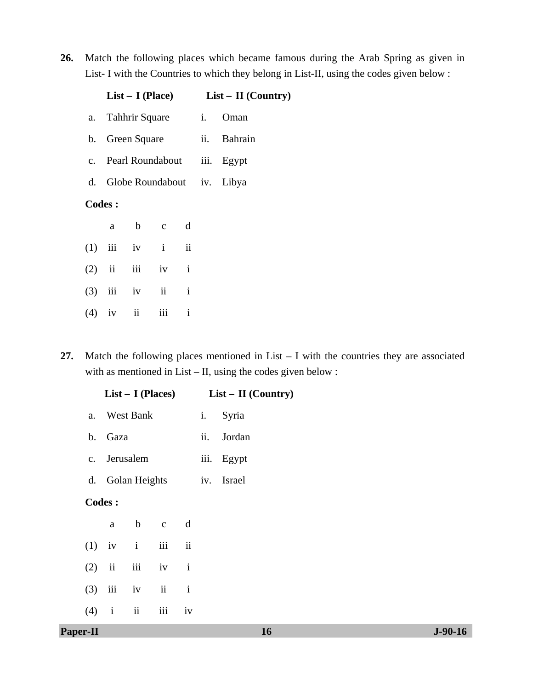**26.** Match the following places which became famous during the Arab Spring as given in List- I with the Countries to which they belong in List-II, using the codes given below :

|  |               |                 |                   |              | $List - I (Place)$ $List - II (Country)$ |
|--|---------------|-----------------|-------------------|--------------|------------------------------------------|
|  |               |                 |                   |              | a. Tahhrir Square i. Oman                |
|  |               | b. Green Square |                   |              | ii. Bahrain                              |
|  |               |                 |                   |              | c. Pearl Roundabout iii. Egypt           |
|  |               |                 |                   |              | d. Globe Roundabout iv. Libya            |
|  | <b>Codes:</b> |                 |                   |              |                                          |
|  | a a           |                 | b c d             |              |                                          |
|  |               |                 | $(1)$ iii iv i ii |              |                                          |
|  |               | $(2)$ ii iii    | $iv$ $i$          |              |                                          |
|  |               |                 | $(3)$ iii iv ii i |              |                                          |
|  |               | $(4)$ iv ii     | iii               | $\mathbf{i}$ |                                          |

**27.** Match the following places mentioned in List – I with the countries they are associated with as mentioned in List – II, using the codes given below :

|                |              |               | $List - I$ (Places) |              |     | $List - II (Country)$ |  |           |
|----------------|--------------|---------------|---------------------|--------------|-----|-----------------------|--|-----------|
| a.             |              | West Bank     |                     |              | i.  | Syria                 |  |           |
| $\mathbf b$ .  | Gaza         |               |                     |              | ii. | Jordan                |  |           |
| $\mathbf{c}$ . |              | Jerusalem     |                     |              |     | iii. Egypt            |  |           |
| d.             |              | Golan Heights |                     |              |     | iv. Israel            |  |           |
|                | Codes:       |               |                     |              |     |                       |  |           |
|                | $\mathbf{a}$ | $\mathbf b$   | $\mathbf{C}$        | d            |     |                       |  |           |
| $(1)$ iv       |              | $\rm i$       | $\,$ iii            | $\rm ii$     |     |                       |  |           |
| (2)            | $\,$ ii      | iii           | iv                  | $\mathbf i$  |     |                       |  |           |
| (3)            | $\rm iii$    | iv            | $\rm ii$            | $\mathbf{i}$ |     |                       |  |           |
| (4)            | $\mathbf{i}$ | $\rm ii$      | $\rm iii$           | iv           |     |                       |  |           |
| Paper-II       |              |               |                     |              |     | 16                    |  | $J-90-16$ |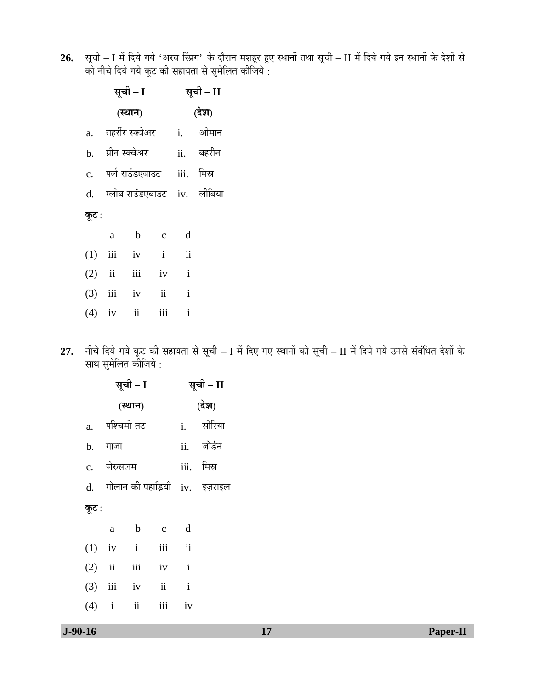**26.** सूची – I में दिये गये 'अरब स्प्रिंग' के दौरान मशहूर हुए स्थानों तथा सूची – II में दिये गये इन स्थानों के देशों से को नीचे दिये गये कूट की सहायता से सुमेलित कीजिये :

|       |   | सूची – I                                |          | सूची – II                 |                                |
|-------|---|-----------------------------------------|----------|---------------------------|--------------------------------|
|       |   | (स्थान)                                 |          |                           | (देश)                          |
|       |   |                                         |          | a. तहरीरंस्क्वेअर i. ओमान |                                |
|       |   | b. ग्रीन <sup>स्क्</sup> वेअर ii. बहरीन |          |                           |                                |
|       |   | c. पर्ल राउंडएबाउट iii. मिस्र           |          |                           |                                |
|       |   |                                         |          |                           | d. ग्लोब राउंडएबाउट iv. लीबिया |
| कूट : |   |                                         |          |                           |                                |
|       | a | $\mathbf b$                             | $c \, d$ |                           |                                |
|       |   | $(1)$ iii iv i                          |          | $\ddot{\rm ii}$           |                                |
|       |   | $(2)$ ii iii iv                         |          | $\mathbf{i}$              |                                |
|       |   | $(3)$ iii iv                            | ii       | $\mathbf{i}$              |                                |
|       |   | $(4)$ iv ii iii i                       |          |                           |                                |

2**7.** नीचे दिये गये कूट की सहायता से सूची – I में दिए गए स्थानों को सूची – II में दिये गये उनसे संबंधित देशों के साथ सुमेलित कीजिये :

|       |                  | सूची – I | सूची – II         |                                   |  |  |
|-------|------------------|----------|-------------------|-----------------------------------|--|--|
|       |                  | (स्थान)  |                   | (देश)                             |  |  |
|       | a.    पश्चिमी तट |          |                   | i. सीरिया                         |  |  |
|       | b. गाजा          |          |                   | ii. जोर्डन                        |  |  |
|       | c. जेरुसलम       |          |                   | iii. मिस्र                        |  |  |
|       |                  |          |                   | d. गोलान की पहाड़ियाँ iv. इज़राइल |  |  |
| कूट : |                  |          |                   |                                   |  |  |
|       |                  |          | a b c d           |                                   |  |  |
|       |                  |          | $(1)$ iv i iii ii |                                   |  |  |
|       |                  |          | $(2)$ ii iii iv i |                                   |  |  |
|       |                  |          | $(3)$ iii iv ii i |                                   |  |  |
|       |                  |          | $(4)$ i ii iii iv |                                   |  |  |
|       |                  |          |                   |                                   |  |  |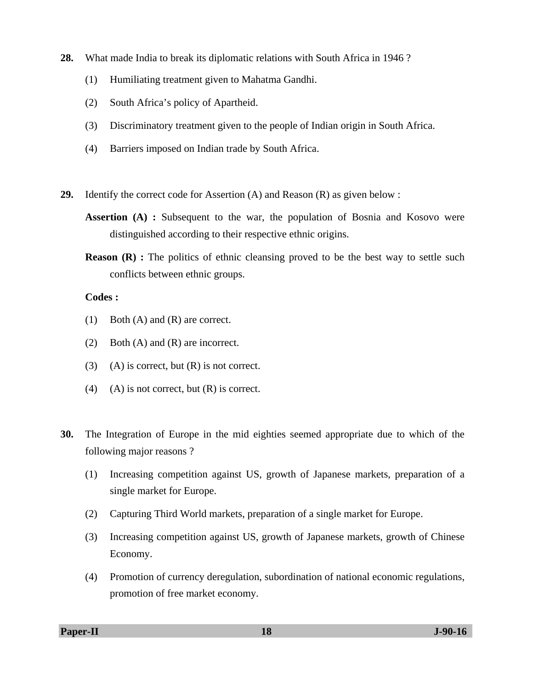- **28.** What made India to break its diplomatic relations with South Africa in 1946 ?
	- (1) Humiliating treatment given to Mahatma Gandhi.
	- (2) South Africa's policy of Apartheid.
	- (3) Discriminatory treatment given to the people of Indian origin in South Africa.
	- (4) Barriers imposed on Indian trade by South Africa.
- **29.** Identify the correct code for Assertion (A) and Reason (R) as given below :
	- **Assertion (A) :** Subsequent to the war, the population of Bosnia and Kosovo were distinguished according to their respective ethnic origins.
	- **Reason (R) :** The politics of ethnic cleansing proved to be the best way to settle such conflicts between ethnic groups.

# **Codes :**

- (1) Both (A) and (R) are correct.
- (2) Both (A) and (R) are incorrect.
- (3) (A) is correct, but  $(R)$  is not correct.
- (4) (A) is not correct, but  $(R)$  is correct.
- **30.** The Integration of Europe in the mid eighties seemed appropriate due to which of the following major reasons ?
	- (1) Increasing competition against US, growth of Japanese markets, preparation of a single market for Europe.
	- (2) Capturing Third World markets, preparation of a single market for Europe.
	- (3) Increasing competition against US, growth of Japanese markets, growth of Chinese Economy.
	- (4) Promotion of currency deregulation, subordination of national economic regulations, promotion of free market economy.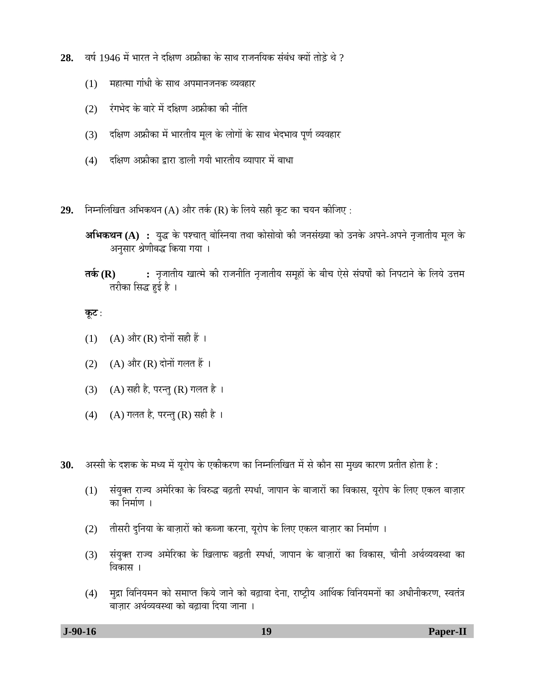- 2**8.** वर्ष 1946 में भारत ने दक्षिण अफ्रीका के साथ राजनयिक संबंध क्यों तोड़े थे ?
	- (1)  $\blacksquare$ महात्मा गांधी के साथ अपमानजनक व्यवहार
	- $(2)$  एंगभेद के बारे में दक्षिण अफ्रीका की नीति
	- (3) दक्षिण अफ्रीका में भारतीय मूल के लोगों के साथ भेदभाव पूर्ण व्यवहार
	- (4) दक्षिण अफ्रीका द्वारा डाली गयी भारतीय व्यापार में बाधा
- 29. निम्नलिखित अभिकथन (A) और तर्क (R) के लिये सही कूट का चयन कीजिए :
	- **अभिकथन (A) :** युद्ध के पश्चात् बोस्निया तथा कोसोवो की जनसंख्या को उनके अपने-अपने नृजातीय मूल के अनुसार श्रेणीबद्ध किया गया ।
	- **तर्क (R) :** नृजातीय खात्मे की राजनीति नृजातीय समूहों के बीच ऐसे संघर्षों को निपटाने के लिये उत्तम तरीका सिद्ध हई है ।

- $(1)$   $(A)$  और  $(R)$  दोनों सही हैं ।
- (2)  $(A)$  और  $(R)$  दोनों गलत हैं।
- (3) (A) सही है, परन्तु (R) गलत है।
- (4) (A) गलत है, परन्तु (R) सही है ।
- $30.$  अस्सी के दशक के मध्य में यूरोप के एकीकरण का निम्नलिखित में से कौन सा मुख्य कारण प्रतीत होता है :
	- (1) संयुक्त राज्य अमेरिका के विरुद्ध बढ़ती स्पर्धा, जापान के बाजारों का विकास, युरोप के लिए एकल बाज़ार का निर्माण ।
	- (2) तीसरी दुनिया के बाज़ारों को कब्जा करना, युरोप के लिए एकल बाज़ार का निर्माण ।
	- (3) संयुक्त राज्य अमेरिका के खिलाफ बढ़ती स्पर्धा, जापान के बाज़ारों का विकास, चीनी अर्थव्यवस्था का विकास ।
	- (4) मुद्रा विनियमन को समाप्त किये जाने को बढ़ावा देना, राष्ट्रीय आर्थिक विनियमनों का अधीनीकरण, स्वतंत्र बाज़ार अर्थव्यवस्था को बढावा दिया जाना ।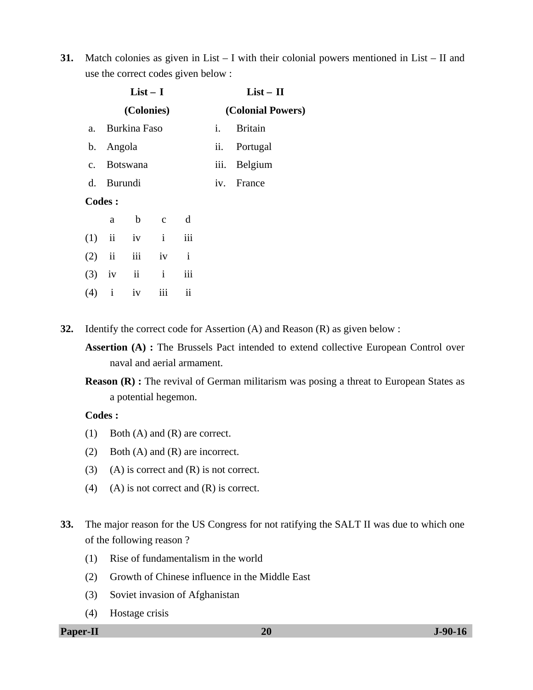**31.** Match colonies as given in List – I with their colonial powers mentioned in List – II and use the correct codes given below :

|     |                         | $List-I$      |              |              |                | $List - II$<br>(Colonial Powers) |  |  |  |
|-----|-------------------------|---------------|--------------|--------------|----------------|----------------------------------|--|--|--|
|     |                         | (Colonies)    |              |              |                |                                  |  |  |  |
| a.  |                         | Burkina Faso  |              |              | $\mathbf{i}$ . | <b>Britain</b>                   |  |  |  |
|     | b. Angola               |               |              |              | ii.            | Portugal                         |  |  |  |
|     |                         | c. Botswana   |              |              |                | iii. Belgium                     |  |  |  |
|     | d. Burundi              |               |              |              |                | iv. France                       |  |  |  |
|     | <b>Codes:</b>           |               |              |              |                |                                  |  |  |  |
|     | a                       | $\mathbf b$   | $\mathbf{C}$ | d            |                |                                  |  |  |  |
| (1) | ii                      |               | $iv$ $i$     | iii          |                |                                  |  |  |  |
| (2) | $\overline{\mathbf{u}}$ |               | iii iv       | $\mathbf{i}$ |                |                                  |  |  |  |
| (3) | iv                      | $\mathbf{ii}$ | $\mathbf{i}$ | iii          |                |                                  |  |  |  |

- $(4)$  i iv iii ii
- **32.** Identify the correct code for Assertion (A) and Reason (R) as given below :
	- **Assertion (A) :** The Brussels Pact intended to extend collective European Control over naval and aerial armament.
	- **Reason (R) :** The revival of German militarism was posing a threat to European States as a potential hegemon.

## **Codes :**

- (1) Both (A) and (R) are correct.
- (2) Both (A) and (R) are incorrect.
- (3) (A) is correct and  $(R)$  is not correct.
- (4) (A) is not correct and  $(R)$  is correct.
- **33.** The major reason for the US Congress for not ratifying the SALT II was due to which one of the following reason ?
	- (1) Rise of fundamentalism in the world
	- (2) Growth of Chinese influence in the Middle East
	- (3) Soviet invasion of Afghanistan
	- (4) Hostage crisis
- **Paper-II 20** J-90-16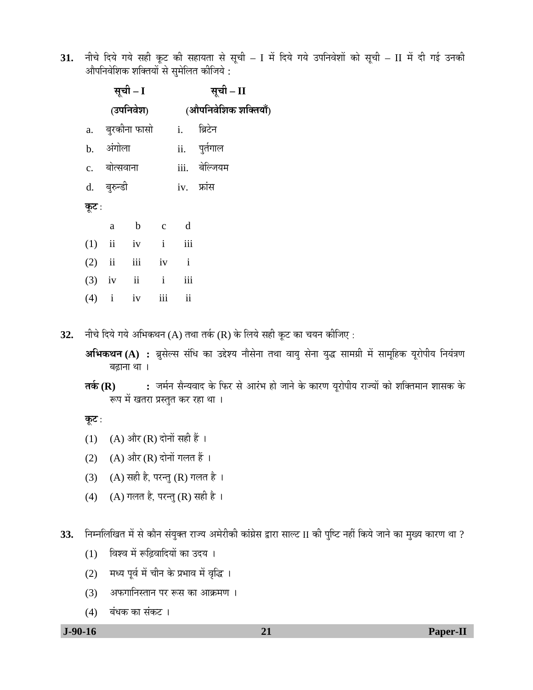31. नीचे दिये गये सही कूट की सहायता से सूची – I में दिये गये उपनिवेशों को सूची – II में दी गई उनकी औपनिवेशिक शक्तियों से सुमेलित कीजिये :

|       |              | सूची – I          | सूची – II            |                   |  |  |  |
|-------|--------------|-------------------|----------------------|-------------------|--|--|--|
|       |              | (उपनिवेश)         | (औपनिवेशिक शक्तियाँ) |                   |  |  |  |
|       |              | a. बुरकीना फासो   |                      | <u>i.</u> ब्रिटेन |  |  |  |
|       | b. अंगोला    |                   |                      | ii. पुर्तगाल      |  |  |  |
|       | c. बोत्सवाना |                   |                      | iii. बेल्जियम     |  |  |  |
|       | d. बुरुन्डी  |                   |                      | iv. फ्रांस        |  |  |  |
| कूट : |              |                   |                      |                   |  |  |  |
|       |              | a b c d           |                      |                   |  |  |  |
|       |              | $(1)$ ii iv i iii |                      |                   |  |  |  |
|       |              | $(2)$ ii iii iv i |                      |                   |  |  |  |
|       |              | $(3)$ iv ii i iii |                      |                   |  |  |  |
|       |              | $(4)$ i iv iii ii |                      |                   |  |  |  |

32. नीचे दिये गये अभिकथन (A) तथा तर्क (R) के लिये सही कूट का चयन कीजिए :

**अभिकथन (A) :** ब्रुसेल्स संधि का उद्देश्य नौसेना तथा वायु सेना युद्ध सामग्री में सामूहिक यूरोपीय नियंत्रण बढाना था ।

**तर्क (R) :** जर्मन सैन्यवाद के फिर से आरंभ हो जाने के कारण यूरोपीय राज्यों को शक्तिमान शासक के रूप में खतरा प्रस्तुत कर रहा था ।

**कूट** :

- (1) (A) और (R) दोनों सही हैं ।
- (2) (A) और (R) दोनों गलत हैं ।
- (3) (A) सही है, परन्तु (R) गलत है।
- (4) (A) गलत है, परन्तु (R) सही है ।

33. निम्नलिखित में से कौन संयुक्त राज्य अमेरीकी कांग्रेस द्वारा साल्ट II की पुष्टि नहीं किये जाने का मुख्य कारण था ?

- (1) विश्व में रूढ़िवादियों का उदय ।
- (2) मध्य पूर्व में चीन के प्रभाव में वृद्धि ।
- (3) अफगानिस्तान पर रूस का आक्रमण ।
- $(4)$  बंधक का संकट ।

 **J-90-16 21 Paper-II**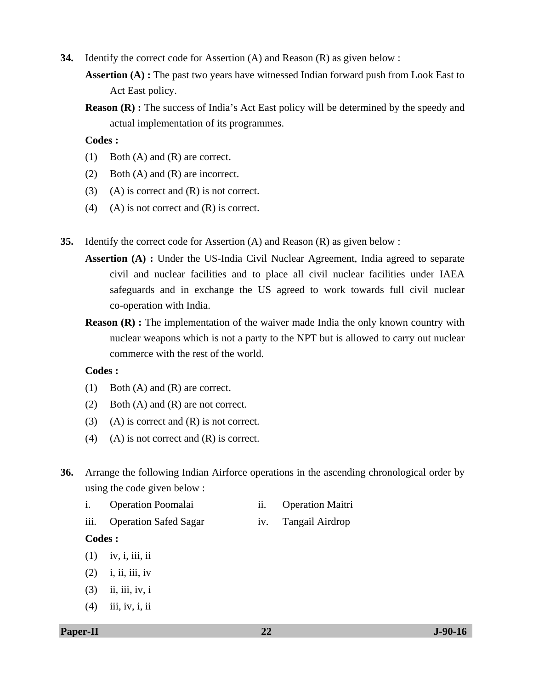- **34.** Identify the correct code for Assertion (A) and Reason (R) as given below :
	- **Assertion (A) :** The past two years have witnessed Indian forward push from Look East to Act East policy.
	- **Reason (R) :** The success of India's Act East policy will be determined by the speedy and actual implementation of its programmes.

 **Codes :** 

- (1) Both (A) and (R) are correct.
- (2) Both (A) and (R) are incorrect.
- (3) (A) is correct and  $(R)$  is not correct.
- (4) (A) is not correct and  $(R)$  is correct.
- **35.** Identify the correct code for Assertion (A) and Reason (R) as given below :
	- **Assertion (A) :** Under the US-India Civil Nuclear Agreement, India agreed to separate civil and nuclear facilities and to place all civil nuclear facilities under IAEA safeguards and in exchange the US agreed to work towards full civil nuclear co-operation with India.
	- **Reason (R) :** The implementation of the waiver made India the only known country with nuclear weapons which is not a party to the NPT but is allowed to carry out nuclear commerce with the rest of the world.

#### **Codes :**

- (1) Both (A) and (R) are correct.
- (2) Both (A) and (R) are not correct.
- (3) (A) is correct and  $(R)$  is not correct.
- (4) (A) is not correct and  $(R)$  is correct.
- **36.** Arrange the following Indian Airforce operations in the ascending chronological order by using the code given below :
	- i. Operation Poomalai ii. Operation Maitri
	- iii. Operation Safed Sagar iv. Tangail Airdrop

## **Codes :**

- $(1)$  iv, i, iii, ii
- $(2)$  i, ii, iii, iv
- $(3)$  ii, iii, iv, i
- (4) iii, iv, i, ii

#### **Paper-II 22 J-90-16**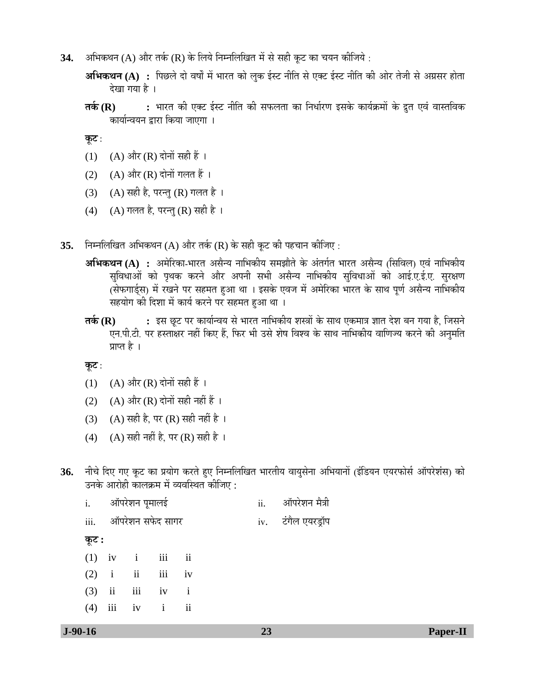34. अभिकथन (A) और तर्क (R) के लिये निम्नलिखित में से सही कुट का चयन कीजिये :

**अभिकथन (A) :** पिछले दो वर्षों में भारत को लुक ईस्ट नीति से एक्ट ईस्ट नीति की ओर तेजी से अग्रसर होता देखा गया है ।

**तर्क (R) :** भारत की एक्ट ईस्ट नीति की सफलता का निर्धारण इसके कार्यक्रमों के द्रुत एवं वास्तविक कार्यान्वयन द्वारा किया जाएगा ।

**कूट** :

- (1) (A) और (R) दोनों सही हैं ।
- (2)  $(A)$  और  $(R)$  दोनों गलत हैं।
- (3) (A) सही है, परन्तु (R) गलत है।
- (4) (A) गलत है, परन्तु (R) सही है।
- **35.** निम्नलिखित अभिकथन (A) और तर्क (R) के सही कूट की पहचान कीजिए :
	- **अभिकथन (A) :** अमेरिका-भारत असैन्य नाभिकीय समझौते के अंतर्गत भारत असैन्य (सिविल) एवं नाभिकीय सुविधाओं को पृथक करने और अपनी सभी असैन्य नाभिकीय सुविधाओं को आई.ए.ई.ए. सुरक्षण (सेफगार्ड्स) में रखने पर सहमत हुआ था । इसके एवज में अमेरिका भारत के साथ पूर्ण असैन्य नाभिकीय सहयोग की दिशा में कार्य करने पर सहमत हुआ था ।
	- **ŸÖÛÔú (R) :** ‡ÃÖ "æû™ü ¯Ö¸ü ÛúÖµÖÖÔ®¾ÖµÖ ÃÖê ³ÖÖ¸üŸÖ ®ÖÖ׳ÖÛúßµÖ ¿ÖáÖÖë Ûêú ÃÖÖ£Ö ‹Ûú´ÖÖ¡Ö –ÖÖŸÖ ¤êü¿Ö ²Ö®Ö ÝÖµÖÖ Æîü, וÖÃÖ®Öê एन.पी.टी. पर हस्ताक्षर नहीं किए हैं. फिर भी उसे शेष विश्व के साथ नाभिकीय वाणिज्य करने की अनुमति प्राप्त है ।

- $(1)$   $(A)$  और  $(R)$  दोनों सही हैं ।
- (2) (A) और (R) दोनों सही नहीं हैं ।
- (3) (A) सही है, पर (R) सही नहीं है ।
- (4) (A) सही नहीं है, पर (R) सही है।
- 36. नीचे दिए गए कूट का प्रयोग करते हुए निम्नलिखित भारतीय वायुसेना अभियानों (इंडियन एयरफोर्स ऑपरेशंस) को उनके आरोही कालक्रम में व्यवस्थित कीजिए :

|       | i. ऑपरेशन पूमालई |                       | ii. ऑपरेशन मैत्री  |  |
|-------|------------------|-----------------------|--------------------|--|
|       |                  | iii. ऑपरेशन सफेद सागर | iv. टंगैल एयरड्रॉप |  |
| कूट : |                  |                       |                    |  |
|       |                  | $(1)$ iv i iii ii     |                    |  |
|       |                  | $(2)$ i ii iii iv     |                    |  |
|       |                  | $(3)$ ii iii iv i     |                    |  |
| (4)   |                  | iii iv i ii           |                    |  |
|       |                  |                       |                    |  |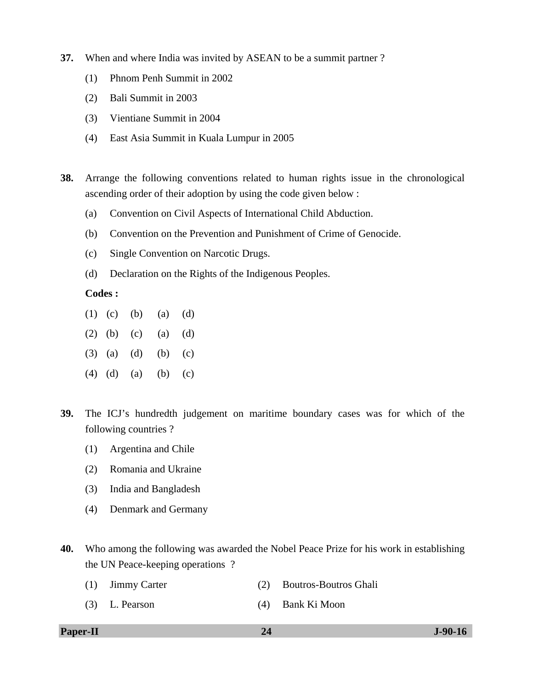- **37.** When and where India was invited by ASEAN to be a summit partner ?
	- (1) Phnom Penh Summit in 2002
	- (2) Bali Summit in 2003
	- (3) Vientiane Summit in 2004
	- (4) East Asia Summit in Kuala Lumpur in 2005
- **38.** Arrange the following conventions related to human rights issue in the chronological ascending order of their adoption by using the code given below :
	- (a) Convention on Civil Aspects of International Child Abduction.
	- (b) Convention on the Prevention and Punishment of Crime of Genocide.
	- (c) Single Convention on Narcotic Drugs.
	- (d) Declaration on the Rights of the Indigenous Peoples.

#### **Codes :**

- (1) (c) (b) (a) (d)
- (2) (b) (c) (a) (d)
- (3) (a) (d) (b) (c)
- (4) (d) (a) (b) (c)
- **39.** The ICJ's hundredth judgement on maritime boundary cases was for which of the following countries ?
	- (1) Argentina and Chile
	- (2) Romania and Ukraine
	- (3) India and Bangladesh
	- (4) Denmark and Germany
- **40.** Who among the following was awarded the Nobel Peace Prize for his work in establishing the UN Peace-keeping operations ?
	- (1) Jimmy Carter (2) Boutros-Boutros Ghali
	- (3) L. Pearson (4) Bank Ki Moon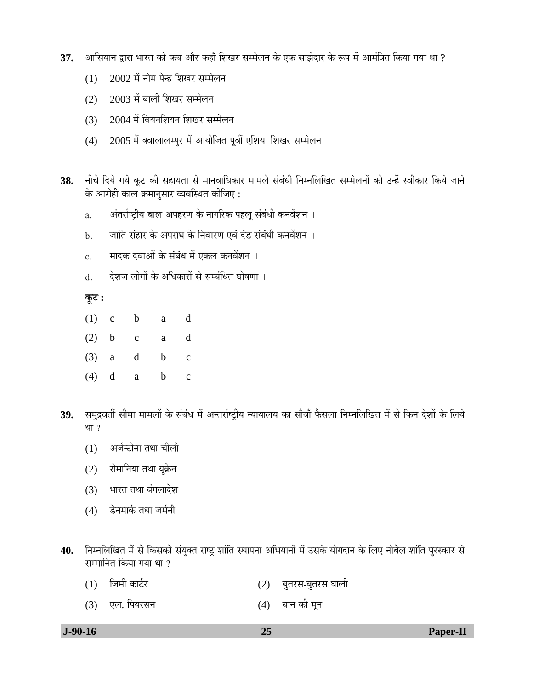- ${\bf 37.}\quad$  आसियान द्वारा भारत को कब और कहाँ शिखर सम्मेलन के एक साझेदार के रूप में आमंत्रित किया गया था ?
	- $(1)$  2002 में नोम पेन्ह शिखर सम्मेलन
	- $(2)$   $2003$  में बाली शिखर सम्मेलन
	- $(3)$  2004 में वियनशियन शिखर सम्मेलन
	- $(4)$  2005 में क्वालालम्पुर में आयोजित पूर्वी एशिया शिखर सम्मेलन
- 38. नीचे दिये गये कूट की सहायता से मानवाधिकार मामले संबंधी निम्नलिखित सम्मेलनों को उन्हें स्वीकार किये जाने के आरोही काल क्रमानसार व्यवस्थित कीजिए :
	- a. अंतर्राष्ट्रीय बाल अपहरण के नागरिक पहलू संबंधी कनवेंशन ।
	- b. जाति संहार के अपराध के निवारण एवं दंड संबंधी कनवेंशन ।
	- c. मादक दवाओं के संबंध में एकल कनवेंशन ।
	- d. देशज लोगों के अधिकारों से सम्बंधित घोषणा ।

**Ûæú™ü :**

- (1) c b a d
- (2) b c a d
- (3) a d b c
- (4) d a b c
- 39. समुद्रवर्ती सीमा मामलों के संबंध में अन्तर्राष्ट्रीय न्यायालय का सौवाँ फैसला निम्नलिखित में से किन देशों के लिये था $?$ 
	- $(1)$  अर्जेन्टीना तथा चीली
	- (2) रोमानिया तथा यूक्रेन
	- (3) भारत तथा बंगलादेश
	- $(4)$  डेनमार्क तथा जर्मनी
- **40.** ×®Ö´®Ö×»Ö×ÜÖŸÖ ´Öë ÃÖê ×ÛúÃÖÛúÖê ÃÖÓµÖãŒŸÖ ¸üÖ™Òü ¿ÖÖÓ×ŸÖ Ã£ÖÖ¯Ö®ÖÖ †×³ÖµÖÖ®ÖÖë ´Öë ˆÃÖÛêú µÖÖêÝÖ¤üÖ®Ö Ûêú ×»Ö‹ ®ÖÖê²Öê»Ö ¿ÖÖÓ×ŸÖ ¯Öã¸üÃÛúÖ¸ü ÃÖê सम्मानित किया गया था  $\overline{?}$ 
	- $(1)$  जिमी कार्टर  $(2)$  बुतरस-बुतरस घाली
	- (3) एल. पियरसन (4) बान की मून

| $J-90-16$ |  |  |
|-----------|--|--|
|-----------|--|--|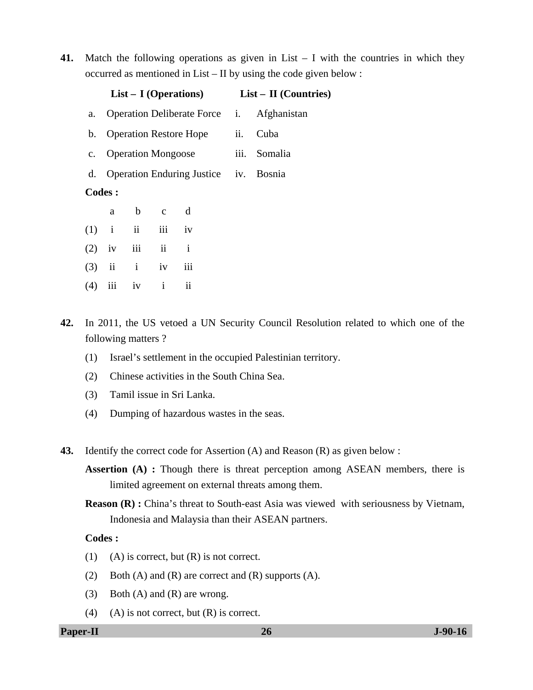**41.** Match the following operations as given in List – I with the countries in which they occurred as mentioned in List – II by using the code given below :

|     |               | $List - I$ (Operations) |              | $List - II$ (Countries)                  |     |                                                  |  |
|-----|---------------|-------------------------|--------------|------------------------------------------|-----|--------------------------------------------------|--|
| a.  |               |                         |              |                                          |     | Operation Deliberate Force <i>i.</i> Afghanistan |  |
|     |               |                         |              | b. Operation Restore Hope                | ii. | Cuba                                             |  |
|     |               | c. Operation Mongoose   |              |                                          |     | iii. Somalia                                     |  |
|     |               |                         |              | d. Operation Enduring Justice iv. Bosnia |     |                                                  |  |
|     | <b>Codes:</b> |                         |              |                                          |     |                                                  |  |
|     | a             |                         | $b$ c        | d                                        |     |                                                  |  |
| (1) |               | $i$ $ii$                | iii iv       |                                          |     |                                                  |  |
| (2) | $i\mathbf{v}$ | iii ii                  |              | $\mathbf{i}$                             |     |                                                  |  |
| (3) |               | $ii$ $i$ $iv$           |              | iii                                      |     |                                                  |  |
| (4) | iii           | iv                      | $\mathbf{i}$ | $\overline{\mathbf{ii}}$                 |     |                                                  |  |
|     |               |                         |              |                                          |     |                                                  |  |

- **42.** In 2011, the US vetoed a UN Security Council Resolution related to which one of the following matters ?
	- (1) Israel's settlement in the occupied Palestinian territory.
	- (2) Chinese activities in the South China Sea.
	- (3) Tamil issue in Sri Lanka.
	- (4) Dumping of hazardous wastes in the seas.
- **43.** Identify the correct code for Assertion (A) and Reason (R) as given below :
	- **Assertion (A) :** Though there is threat perception among ASEAN members, there is limited agreement on external threats among them.
	- **Reason (R) :** China's threat to South-east Asia was viewed with seriousness by Vietnam, Indonesia and Malaysia than their ASEAN partners.

# **Codes :**

- (1) (A) is correct, but  $(R)$  is not correct.
- (2) Both (A) and (R) are correct and (R) supports (A).
- (3) Both (A) and (R) are wrong.
- (4) (A) is not correct, but  $(R)$  is correct.

**Paper-II 26** J-90-16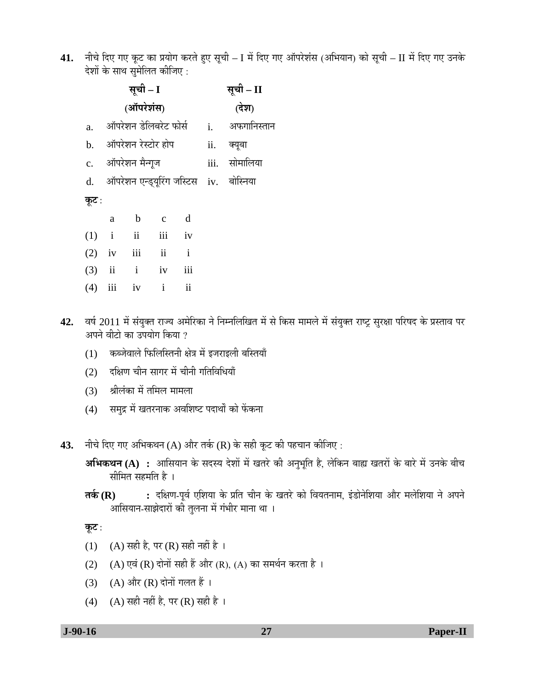41. नीचे दिए गए कूट का प्रयोग करते हुए सूची – I में दिए गए ऑपरेशंस (अभियान) को सूची – II में दिए गए उनके देशों के साथ समेलित कीजिए :

|           |   | सूची – I              |                | सूची – II                                 |                                                   |
|-----------|---|-----------------------|----------------|-------------------------------------------|---------------------------------------------------|
|           |   | (ऑपरेशंस)             |                |                                           | (देश)                                             |
| a.        |   |                       |                |                                           | ऑपरेशन डेलिबरेट फोर्स        i.       अफगानिस्तान |
|           |   | b. ऑपरेशन रेस्टोर होप |                | ii. क्यूबा                                |                                                   |
|           |   | c. ऑपरेशन मैन्गूज     |                | iii. सोमालिया                             |                                                   |
|           |   |                       |                | d. ऑपरेशन एन्ड्यूरिंग जस्टिस iv. बोस्निया |                                                   |
| कूट :     |   |                       |                |                                           |                                                   |
|           | a | $\mathbf b$           | $\overline{c}$ | d                                         |                                                   |
| (1)       |   | i ii iii iv           |                |                                           |                                                   |
| $(2)$ iv  |   | iii ii                |                | $\mathbf{i}$                              |                                                   |
|           |   | $(3)$ ii i iv         |                | iii                                       |                                                   |
| $(4)$ iii |   | iv                    | $\mathbf{i}$   | $\overline{\textbf{ii}}$                  |                                                   |

- 42. वर्ष 2011 में संयुक्त राज्य अमेरिका ने निम्नलिखित में से किस मामले में संयुक्त राष्ट्र सुरक्षा परिषद के प्रस्ताव पर अपने वीटो का उपयोग किया  $\imath$ 
	- (1) कब्जेवाले फिलिस्तिनी क्षेत्र में इजराइली बस्तियाँ
	- (2) दक्षिण चीन सागर में चीनी गतिविधियाँ
	- (3) श्रीलंका में तमिल मामला
	- (4) समुद्र में खतरनाक अवशिष्ट पदार्थों को फेंकना
- 43. नीचे दिए गए अभिकथन (A) और तर्क (R) के सही कूट की पहचान कीजिए :
	- **अभिकथन (A) :** आसियान के सदस्य देशों में खतरे की अनुभूति है, लेकिन बाह्य खतरों के बारे में उनके बीच सीमित सहमति है $\,$ ।
	- **तर्क (R) :** दक्षिण-पूर्व एशिया के प्रति चीन के खतरे को वियतनाम, इंडोनेशिया और मलेशिया ने अपने आसियान-साझेदारों को तुलना में गंभीर माना था ।

- (1) (A) सही है, पर (R) सही नहीं है ।
- (2) (A) एवं (R) दोनों सही हैं और (R), (A) का समर्थन करता है ।
- (3) (A) और (R) दोनों गलत हैं ।
- (4) (A) सही नहीं है, पर (R) सही है।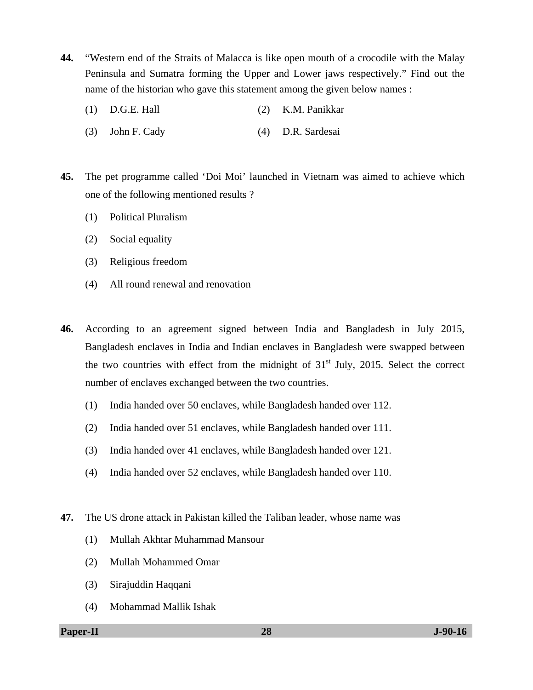- **44.** "Western end of the Straits of Malacca is like open mouth of a crocodile with the Malay Peninsula and Sumatra forming the Upper and Lower jaws respectively." Find out the name of the historian who gave this statement among the given below names :
	- (1) D.G.E. Hall (2) K.M. Panikkar
	- (3) John F. Cady (4) D.R. Sardesai
- **45.** The pet programme called 'Doi Moi' launched in Vietnam was aimed to achieve which one of the following mentioned results ?
	- (1) Political Pluralism
	- (2) Social equality
	- (3) Religious freedom
	- (4) All round renewal and renovation
- **46.** According to an agreement signed between India and Bangladesh in July 2015, Bangladesh enclaves in India and Indian enclaves in Bangladesh were swapped between the two countries with effect from the midnight of  $31<sup>st</sup>$  July, 2015. Select the correct number of enclaves exchanged between the two countries.
	- (1) India handed over 50 enclaves, while Bangladesh handed over 112.
	- (2) India handed over 51 enclaves, while Bangladesh handed over 111.
	- (3) India handed over 41 enclaves, while Bangladesh handed over 121.
	- (4) India handed over 52 enclaves, while Bangladesh handed over 110.
- **47.** The US drone attack in Pakistan killed the Taliban leader, whose name was
	- (1) Mullah Akhtar Muhammad Mansour
	- (2) Mullah Mohammed Omar
	- (3) Sirajuddin Haqqani
	- (4) Mohammad Mallik Ishak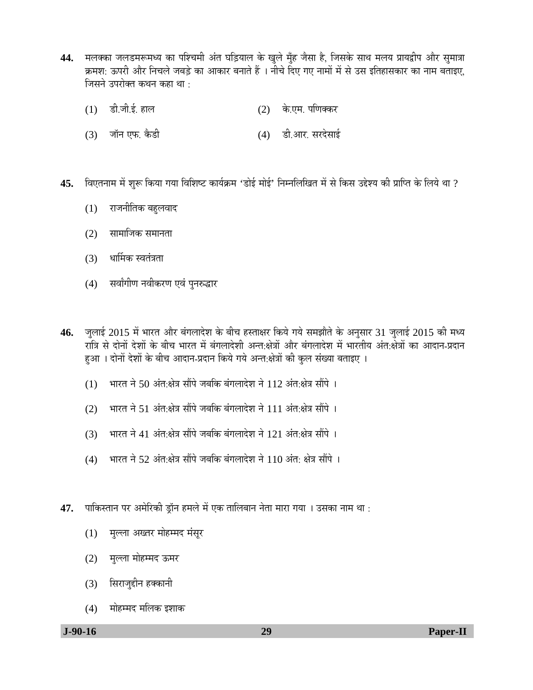- 44. मलक्का जलडमरूमध्य का पश्चिमी अंत घड़ियाल के खुले मुँह जैसा है, जिसके साथ मलय प्रायद्वीप और सुमात्रा लिंग्या: ऊपरी और निचले जबड़े का आकार बनाते हैं । नीचे दिए गए नामों में से उस इतिहासकार का नाम बताइए, जिसने उपरोक्त कथन कहा था $\cdot$ 
	- $(1)$  डी.जी.ई. हाल  $(2)$  के.एम. पणिक्कर
	- (3) जॉन एफ. कैडी (4) डी.आर. सरदेसाई
- 45. विएतनाम में शुरू किया गया विशिष्ट कार्यक्रम 'डोई मोई' निम्नलिखित में से किस उद्देश्य की प्राप्ति के लिये था ?
	- (1) राजनीतिक बहुलवाद
	- (2) सामाजिक समानता
	- (3) धार्मिक स्वतंत्रता
	- (4) सर्वांगीण नवीकरण एवं पुनरुद्धार
- 46. जुलाई 2015 में भारत और बंगलादेश के बीच हस्ताक्षर किये गये समझौते के अनुसार 31 जुलाई 2015 की मध्य रात्रि से दोनों देशों के बीच भारत में बंगलादेशी अन्त:क्षेत्रों और बंगलादेश में भारतीय अंत:क्षेत्रों का आदान-प्रदान हुआ। दोनों देशों के बीच आदान-प्रदान किये गये अन्त:क्षेत्रों की कुल संख्या बताइए।
	- $(1)$  ) भारत ने 50 अंत:क्षेत्र सौंपे जबकि बंगलादेश ने 112 अंत:क्षेत्र सौंपे ।
	- (2) भारत ने 51 अंत:क्षेत्र सौंपे जबकि बंगलादेश ने 111 अंत:क्षेत्र सौंपे ।
	- (3) भारत ने 41 अंत:क्षेत्र सौंपे जबकि बंगलादेश ने 121 अंत:क्षेत्र सौंपे ।
	- $(4)$  भारत ने 52 अंत:क्षेत्र सौंपे जबकि बंगलादेश ने 110 अंत: क्षेत्र सौंपे ।
- 47. पाकिस्तान पर अमेरिकी ड्रॉन हमले में एक तालिबान नेता मारा गया । उसका नाम था :
	- (1) मुल्ला अख्तर मोहम्मद मंसूर
	- (2) मुल्ला मोहम्मद ऊमर
	- (3) सिराजुद्दीन हक्कानी
	- (4) मोहम्मद मलिक इशाक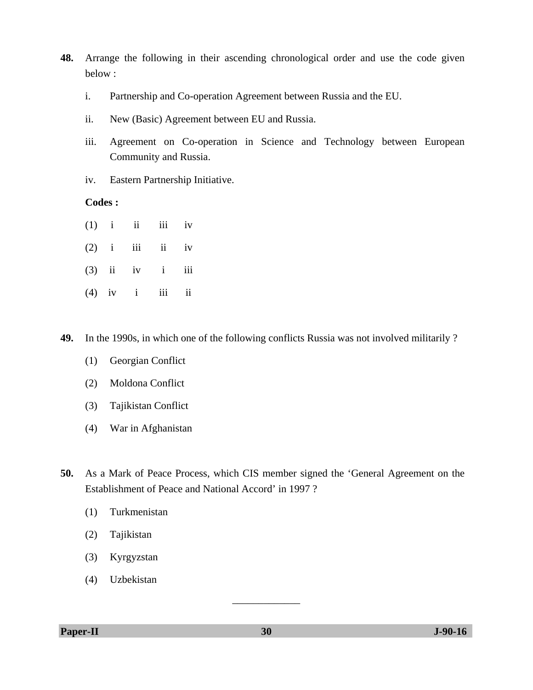- **48.** Arrange the following in their ascending chronological order and use the code given below :
	- i. Partnership and Co-operation Agreement between Russia and the EU.
	- ii. New (Basic) Agreement between EU and Russia.
	- iii. Agreement on Co-operation in Science and Technology between European Community and Russia.
	- iv. Eastern Partnership Initiative.

# **Codes :**

- $(1)$  i ii iii iv  $(2)$  i iii ii iv  $(3)$  ii iv i iii  $(4)$  iv i iii ii
- **49.** In the 1990s, in which one of the following conflicts Russia was not involved militarily ?
	- (1) Georgian Conflict
	- (2) Moldona Conflict
	- (3) Tajikistan Conflict
	- (4) War in Afghanistan
- **50.** As a Mark of Peace Process, which CIS member signed the 'General Agreement on the Establishment of Peace and National Accord' in 1997 ?
	- (1) Turkmenistan
	- (2) Tajikistan
	- (3) Kyrgyzstan
	- (4) Uzbekistan

**Paper-II 30** J-90-16

\_\_\_\_\_\_\_\_\_\_\_\_\_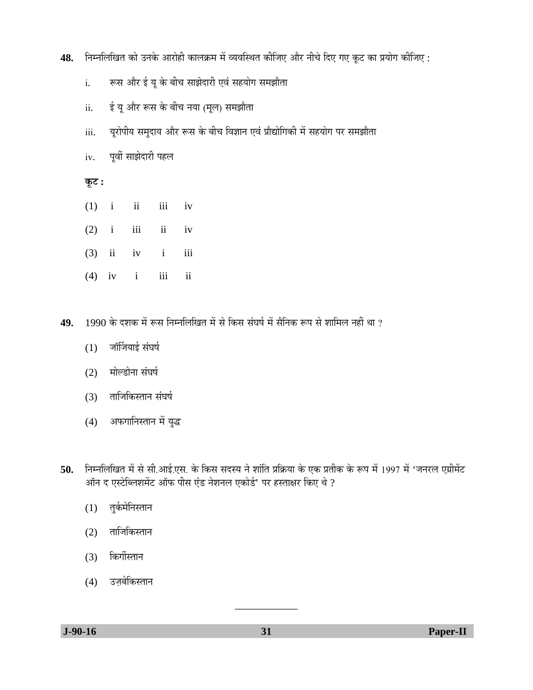- 48. निम्नलिखित को उनके आरोही कालक्रम में व्यवस्थित कीजिए और नीचे दिए गए कूट का प्रयोग कीजिए :
	- i. रूस और ई यू के बीच साझेदारी एवं सहयोग समझौता
	- ii. ई यू और रूस के बीच नया (मूल) समझौता
	- iii. 4्यूरोपीय समुदाय और रूस के बीच विज्ञान एवं प्रौद्योगिकी में सहयोग पर समझौता
	- iv. पूर्वी साझेदारी पहल

 $\overline{\phi}$ **:** 

- $(1)$  i iii iii iv
- $(2)$  i iii ii iv
- $(3)$  ii iv i iii
- $(4)$  iv i iii ii
- **49.** 1990 के दशक में रूस निम्नलिखित में से किस संघर्ष में सैनिक रूप से शामिल नहीं था ?
	- $(1)$  जॉर्जियाई संघर्ष
	- (2) मोल्डोना संघर्ष
	- $(3)$  ताजिकिस्तान संघर्ष
	- $(4)$  अफगानिस्तान में युद्ध
- 50. Fiम्नलिखित में से सी.आई.एस. के किस सदस्य ने शांति प्रक्रिया के एक प्रतीक के रूप में 1997 में 'जनरल एग्रीमेंट ऑन द एस्टेब्लिशमेंट ऑफ पीस एंड नेशनल एकोर्ड' पर हस्ताक्षर किए थे ?
	- $(1)$  तुर्कमेनिस्तान
	- $(2)$  ताजिकिस्तान
	- (3) किर्गीस्तान
	- (4) उज़बेकिस्तान

\_\_\_\_\_\_\_\_\_\_\_\_